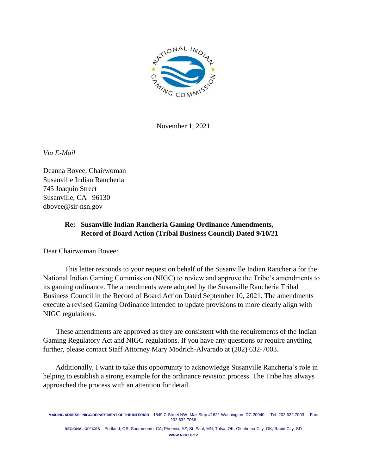

November 1, 2021

*Via E-Mail*

Deanna Bovee, Chairwoman Susanville Indian Rancheria 745 Joaquin Street Susanville, CA 96130 dbovee@sir-nsn.gov

## **Re: Susanville Indian Rancheria Gaming Ordinance Amendments, Record of Board Action (Tribal Business Council) Dated 9/10/21**

Dear Chairwoman Bovee:

This letter responds to your request on behalf of the Susanville Indian Rancheria for the National Indian Gaming Commission (NIGC) to review and approve the Tribe's amendments to its gaming ordinance. The amendments were adopted by the Susanville Rancheria Tribal Business Council in the Record of Board Action Dated September 10, 2021. The amendments execute a revised Gaming Ordinance intended to update provisions to more clearly align with NIGC regulations.

These amendments are approved as they are consistent with the requirements of the Indian Gaming Regulatory Act and NIGC regulations. If you have any questions or require anything further, please contact Staff Attorney Mary Modrich-Alvarado at (202) 632-7003.

 Additionally, I want to take this opportunity to acknowledge Susanville Rancheria's role in helping to establish a strong example for the ordinance revision process. The Tribe has always approached the process with an attention for detail.

**MAILING ADRESS: NIGC/DEPARTMENT OF THE INTERIOR** 1849 C Street NW, Mail Stop #1621 Washington, DC 20040 Tel: 202.632.7003 Fax: 202.632.7066

**REGIONAL OFFICES** Portland, OR; Sacramento, CA; Phoenix, AZ; St. Paul, MN; Tulsa, OK; Oklahoma City, OK; Rapid City, SD **WWW.NIGC.GOV**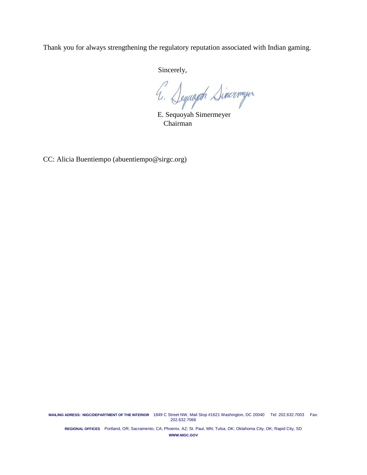Thank you for always strengthening the regulatory reputation associated with Indian gaming.

Sincerely,

E. Sequoyah Simermeyer

Chairman

CC: Alicia Buentiempo (abuentiempo@sirgc.org)

**MAILING ADRESS: NIGC/DEPARTMENT OF THE INTERIOR** 1849 C Street NW, Mail Stop #1621 Washington, DC 20040 Tel: 202.632.7003 Fax: 202.632.7066

**REGIONAL OFFICES** Portland, OR; Sacramento, CA; Phoenix, AZ; St. Paul, MN; Tulsa, OK; Oklahoma City, OK; Rapid City, SD **WWW.NIGC.GOV**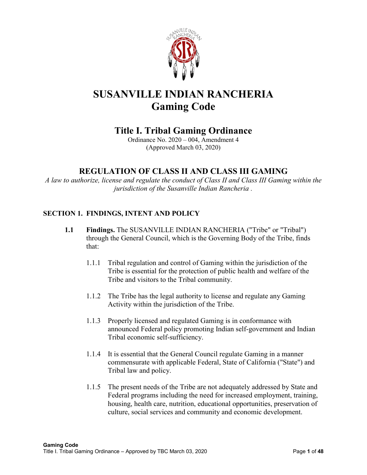

# **SUSANVILLE INDIAN RANCHERIA Gaming Code**

## **Title I. Tribal Gaming Ordinance**

Ordinance No. 2020 – 004, Amendment 4 (Approved March 03, 2020)

## **REGULATION OF CLASS II AND CLASS III GAMING**

*A law to authorize, license and regulate the conduct of Class II and Class III Gaming within the jurisdiction of the Susanville Indian Rancheria .*

## **SECTION 1. FINDINGS, INTENT AND POLICY**

- **1.1 Findings.** The SUSANVILLE INDIAN RANCHERIA ("Tribe" or "Tribal") through the General Council, which is the Governing Body of the Tribe, finds that:
	- 1.1.1 Tribal regulation and control of Gaming within the jurisdiction of the Tribe is essential for the protection of public health and welfare of the Tribe and visitors to the Tribal community.
	- 1.1.2 The Tribe has the legal authority to license and regulate any Gaming Activity within the jurisdiction of the Tribe.
	- 1.1.3 Properly licensed and regulated Gaming is in conformance with announced Federal policy promoting Indian self-government and Indian Tribal economic self-sufficiency.
	- 1.1.4 It is essential that the General Council regulate Gaming in a manner commensurate with applicable Federal, State of California ("State") and Tribal law and policy.
	- 1.1.5 The present needs of the Tribe are not adequately addressed by State and Federal programs including the need for increased employment, training, housing, health care, nutrition, educational opportunities, preservation of culture, social services and community and economic development.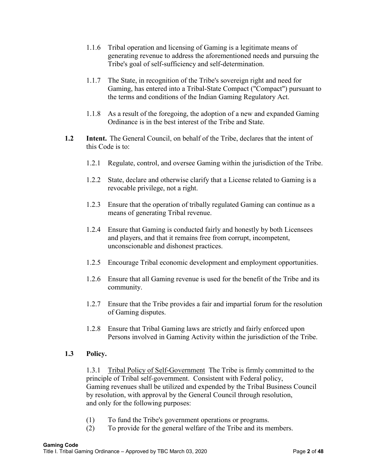- 1.1.6 Tribal operation and licensing of Gaming is a legitimate means of generating revenue to address the aforementioned needs and pursuing the Tribe's goal of self-sufficiency and self-determination.
- 1.1.7 The State, in recognition of the Tribe's sovereign right and need for Gaming, has entered into a Tribal-State Compact ("Compact") pursuant to the terms and conditions of the Indian Gaming Regulatory Act.
- 1.1.8 As a result of the foregoing, the adoption of a new and expanded Gaming Ordinance is in the best interest of the Tribe and State.
- **1.2 Intent.** The General Council, on behalf of the Tribe, declares that the intent of this Code is to:
	- 1.2.1 Regulate, control, and oversee Gaming within the jurisdiction of the Tribe.
	- 1.2.2 State, declare and otherwise clarify that a License related to Gaming is a revocable privilege, not a right.
	- 1.2.3 Ensure that the operation of tribally regulated Gaming can continue as a means of generating Tribal revenue.
	- 1.2.4 Ensure that Gaming is conducted fairly and honestly by both Licensees and players, and that it remains free from corrupt, incompetent, unconscionable and dishonest practices.
	- 1.2.5 Encourage Tribal economic development and employment opportunities.
	- 1.2.6 Ensure that all Gaming revenue is used for the benefit of the Tribe and its community.
	- 1.2.7 Ensure that the Tribe provides a fair and impartial forum for the resolution of Gaming disputes.
	- 1.2.8 Ensure that Tribal Gaming laws are strictly and fairly enforced upon Persons involved in Gaming Activity within the jurisdiction of the Tribe.

## **1.3 Policy.**

1.3.1 Tribal Policy of Self-Government The Tribe is firmly committed to the principle of Tribal self-government. Consistent with Federal policy, Gaming revenues shall be utilized and expended by the Tribal Business Council by resolution, with approval by the General Council through resolution, and only for the following purposes:

- (1) To fund the Tribe's government operations or programs.
- (2) To provide for the general welfare of the Tribe and its members.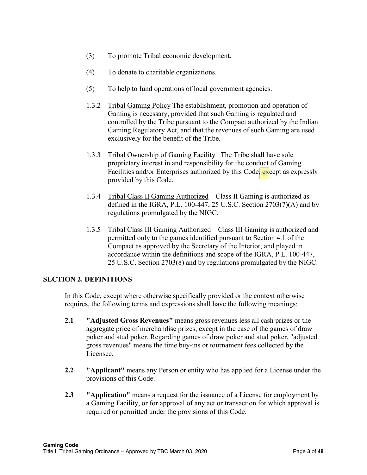- (3) To promote Tribal economic development.
- (4) To donate to charitable organizations.
- (5) To help to fund operations of local government agencies.
- 1.3.2 Tribal Gaming Policy The establishment, promotion and operation of Gaming is necessary, provided that such Gaming is regulated and controlled by the Tribe pursuant to the Compact authorized by the Indian Gaming Regulatory Act, and that the revenues of such Gaming are used exclusively for the benefit of the Tribe.
- 1.3.3 Tribal Ownership of Gaming Facility The Tribe shall have sole proprietary interest in and responsibility for the conduct of Gaming Facilities and/or Enterprises authorized by this Code, except as expressly provided by this Code.
- 1.3.4 Tribal Class II Gaming Authorized Class II Gaming is authorized as defined in the IGRA, P.L. 100-447, 25 U.S.C. Section  $2703(7)(A)$  and by regulations promulgated by the NIGC.
- 1.3.5 Tribal Class III Gaming Authorized Class III Gaming is authorized and permitted only to the games identified pursuant to Section 4.1 of the Compact as approved by the Secretary of the Interior, and played in accordance within the definitions and scope of the IGRA, P.L. 100-447, 25 U.S.C. Section 2703(8) and by regulations promulgated by the NIGC.

#### **SECTION 2. DEFINITIONS**

In this Code, except where otherwise specifically provided or the context otherwise requires, the following terms and expressions shall have the following meanings:

- **2.1 "Adjusted Gross Revenues"** means gross revenues less all cash prizes or the aggregate price of merchandise prizes, except in the case of the games of draw poker and stud poker. Regarding games of draw poker and stud poker, "adjusted gross revenues" means the time buy-ins or tournament fees collected by the Licensee.
- **2.2 "Applicant"** means any Person or entity who has applied for a License under the provisions of this Code.
- **2.3 "Application"** means a request for the issuance of a License for employment by a Gaming Facility, or for approval of any act or transaction for which approval is required or permitted under the provisions of this Code.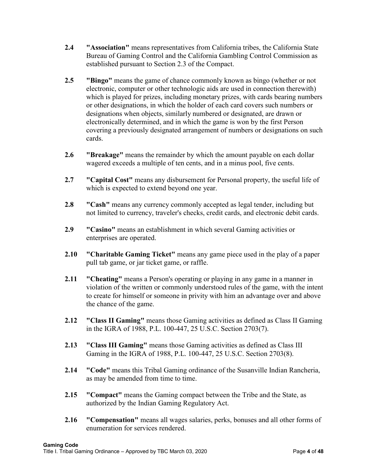- **2.4 "Association"** means representatives from California tribes, the California State Bureau of Gaming Control and the California Gambling Control Commission as established pursuant to Section 2.3 of the Compact.
- **2.5 "Bingo"** means the game of chance commonly known as bingo (whether or not electronic, computer or other technologic aids are used in connection therewith) which is played for prizes, including monetary prizes, with cards bearing numbers or other designations, in which the holder of each card covers such numbers or designations when objects, similarly numbered or designated, are drawn or electronically determined, and in which the game is won by the first Person covering a previously designated arrangement of numbers or designations on such cards.
- **2.6 "Breakage"** means the remainder by which the amount payable on each dollar wagered exceeds a multiple of ten cents, and in a minus pool, five cents.
- **2.7 "Capital Cost"** means any disbursement for Personal property, the useful life of which is expected to extend beyond one year.
- **2.8 "Cash"** means any currency commonly accepted as legal tender, including but not limited to currency, traveler's checks, credit cards, and electronic debit cards.
- **2.9 "Casino"** means an establishment in which several Gaming activities or enterprises are operated.
- **2.10 "Charitable Gaming Ticket"** means any game piece used in the play of a paper pull tab game, or jar ticket game, or raffle.
- **2.11 "Cheating"** means a Person's operating or playing in any game in a manner in violation of the written or commonly understood rules of the game, with the intent to create for himself or someone in privity with him an advantage over and above the chance of the game.
- **2.12 "Class II Gaming"** means those Gaming activities as defined as Class II Gaming in the IGRA of 1988, P.L. 100-447, 25 U.S.C. Section 2703(7).
- **2.13 "Class III Gaming"** means those Gaming activities as defined as Class III Gaming in the IGRA of 1988, P.L. 100-447, 25 U.S.C. Section 2703(8).
- **2.14 "Code"** means this Tribal Gaming ordinance of the Susanville Indian Rancheria, as may be amended from time to time.
- **2.15 "Compact"** means the Gaming compact between the Tribe and the State, as authorized by the Indian Gaming Regulatory Act.
- **2.16 "Compensation"** means all wages salaries, perks, bonuses and all other forms of enumeration for services rendered.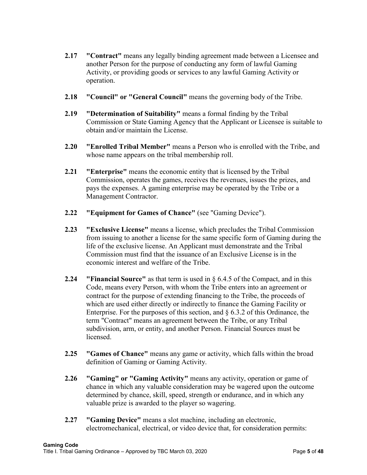- **2.17 "Contract"** means any legally binding agreement made between a Licensee and another Person for the purpose of conducting any form of lawful Gaming Activity, or providing goods or services to any lawful Gaming Activity or operation.
- **2.18 "Council" or "General Council"** means the governing body of the Tribe.
- **2.19 "Determination of Suitability"** means a formal finding by the Tribal Commission or State Gaming Agency that the Applicant or Licensee is suitable to obtain and/or maintain the License.
- **2.20 "Enrolled Tribal Member"** means a Person who is enrolled with the Tribe, and whose name appears on the tribal membership roll.
- **2.21 "Enterprise"** means the economic entity that is licensed by the Tribal Commission, operates the games, receives the revenues, issues the prizes, and pays the expenses. A gaming enterprise may be operated by the Tribe or a Management Contractor.
- **2.22 "Equipment for Games of Chance"** (see "Gaming Device").
- **2.23 "Exclusive License"** means a license, which precludes the Tribal Commission from issuing to another a license for the same specific form of Gaming during the life of the exclusive license. An Applicant must demonstrate and the Tribal Commission must find that the issuance of an Exclusive License is in the economic interest and welfare of the Tribe.
- **2.24 "Financial Source"** as that term is used in § 6.4.5 of the Compact, and in this Code, means every Person, with whom the Tribe enters into an agreement or contract for the purpose of extending financing to the Tribe, the proceeds of which are used either directly or indirectly to finance the Gaming Facility or Enterprise. For the purposes of this section, and § 6.3.2 of this Ordinance, the term "Contract" means an agreement between the Tribe, or any Tribal subdivision, arm, or entity, and another Person. Financial Sources must be licensed.
- **2.25 "Games of Chance"** means any game or activity, which falls within the broad definition of Gaming or Gaming Activity.
- **2.26 "Gaming" or "Gaming Activity"** means any activity, operation or game of chance in which any valuable consideration may be wagered upon the outcome determined by chance, skill, speed, strength or endurance, and in which any valuable prize is awarded to the player so wagering.
- **2.27 "Gaming Device"** means a slot machine, including an electronic, electromechanical, electrical, or video device that, for consideration permits: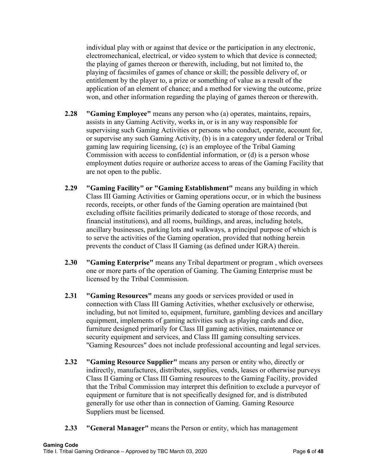individual play with or against that device or the participation in any electronic, electromechanical, electrical, or video system to which that device is connected; the playing of games thereon or therewith, including, but not limited to, the playing of facsimiles of games of chance or skill; the possible delivery of, or entitlement by the player to, a prize or something of value as a result of the application of an element of chance; and a method for viewing the outcome, prize won, and other information regarding the playing of games thereon or therewith.

- **2.28 "Gaming Employee"** means any person who (a) operates, maintains, repairs, assists in any Gaming Activity, works in, or is in any way responsible for supervising such Gaming Activities or persons who conduct, operate, account for, or supervise any such Gaming Activity, (b) is in a category under federal or Tribal gaming law requiring licensing, (c) is an employee of the Tribal Gaming Commission with access to confidential information, or (d) is a person whose employment duties require or authorize access to areas of the Gaming Facility that are not open to the public.
- **2.29 "Gaming Facility" or "Gaming Establishment"** means any building in which Class III Gaming Activities or Gaming operations occur, or in which the business records, receipts, or other funds of the Gaming operation are maintained (but excluding offsite facilities primarily dedicated to storage of those records, and financial institutions), and all rooms, buildings, and areas, including hotels, ancillary businesses, parking lots and walkways, a principal purpose of which is to serve the activities of the Gaming operation, provided that nothing herein prevents the conduct of Class II Gaming (as defined under IGRA) therein.
- **2.30 "Gaming Enterprise"** means any Tribal department or program , which oversees one or more parts of the operation of Gaming. The Gaming Enterprise must be licensed by the Tribal Commission.
- **2.31 "Gaming Resources"** means any goods or services provided or used in connection with Class III Gaming Activities, whether exclusively or otherwise, including, but not limited to, equipment, furniture, gambling devices and ancillary equipment, implements of gaming activities such as playing cards and dice, furniture designed primarily for Class III gaming activities, maintenance or security equipment and services, and Class III gaming consulting services. "Gaming Resources" does not include professional accounting and legal services.
- **2.32 "Gaming Resource Supplier"** means any person or entity who, directly or indirectly, manufactures, distributes, supplies, vends, leases or otherwise purveys Class II Gaming or Class III Gaming resources to the Gaming Facility, provided that the Tribal Commission may interpret this definition to exclude a purveyor of equipment or furniture that is not specifically designed for, and is distributed generally for use other than in connection of Gaming. Gaming Resource Suppliers must be licensed.
- **2.33 "General Manager"** means the Person or entity, which has management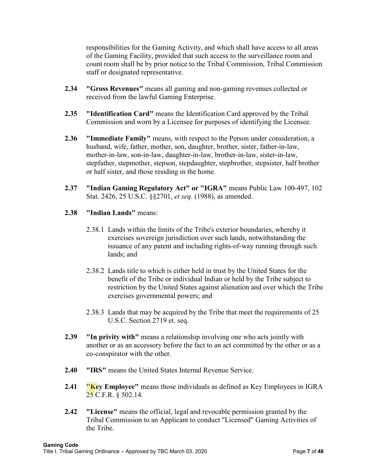responsibilities for the Gaming Activity, and which shall have access to all areas of the Gaming Facility, provided that such access to the surveillance room and count room shall be by prior notice to the Tribal Commission, Tribal Commission staff or designated representative.

- **2.34 "Gross Revenues"** means all gaming and non-gaming revenues collected or received from the lawful Gaming Enterprise.
- **2.35 "Identification Card"** means the Identification Card approved by the Tribal Commission and worn by a Licensee for purposes of identifying the Licensee.
- **2.36 "Immediate Family"** means, with respect to the Person under consideration, a husband, wife, father, mother, son, daughter, brother, sister, father-in-law, mother-in-law, son-in-law, daughter-in-law, brother-in-law, sister-in-law, stepfather, stepmother, stepson, stepdaughter, stepbrother, stepsister, half brother or half sister, and those residing in the home.
- **2.37 "Indian Gaming Regulatory Act" or "IGRA"** means Public Law 100-497, 102 Stat. 2426, 25 U.S.C. §§2701, *et seq.* (1988), as amended.
- **2.38 "Indian Lands"** means:
	- 2.38.1 Lands within the limits of the Tribe's exterior boundaries, whereby it exercises sovereign jurisdiction over such lands, notwithstanding the issuance of any patent and including rights-of-way running through such lands; and
	- 2.38.2 Lands title to which is either held in trust by the United States for the benefit of the Tribe or individual Indian or held by the Tribe subject to restriction by the United States against alienation and over which the Tribe exercises governmental powers; and
	- 2.38.3 Lands that may be acquired by the Tribe that meet the requirements of 25 U.S.C. Section 2719 et. seq.
- **2.39 "In privity with"** means a relationship involving one who acts jointly with another or as an accessory before the fact to an act committed by the other or as a co-conspirator with the other.
- **2.40 "IRS"** means the United States Internal Revenue Service.
- **2.41 Wey Employee''** means those individuals as defined as Key Employees in IGRA 25 C.F.R.  $\S$  502.14.
- **2.42 "License"** means the official, legal and revocable permission granted by the Tribal Commission to an Applicant to conduct "Licensed" Gaming Activities of the Tribe.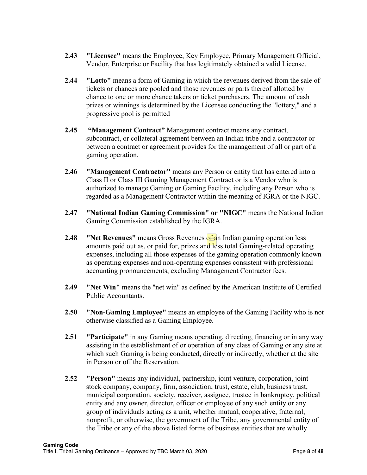- **2.43 "Licensee"** means the Employee, Key Employee, Primary Management Official, Vendor, Enterprise or Facility that has legitimately obtained a valid License.
- **2.44 "Lotto"** means a form of Gaming in which the revenues derived from the sale of tickets or chances are pooled and those revenues or parts thereof allotted by chance to one or more chance takers or ticket purchasers. The amount of cash prizes or winnings is determined by the Licensee conducting the "lottery," and a progressive pool is permitted
- **2.45 "Management Contract"** Management contract means any contract, subcontract, or collateral agreement between an Indian tribe and a contractor or between a contract or agreement provides for the management of all or part of a gaming operation.
- **2.46 "Management Contractor"** means any Person or entity that has entered into a Class II or Class III Gaming Management Contract or is a Vendor who is authorized to manage Gaming or Gaming Facility, including any Person who is regarded as a Management Contractor within the meaning of IGRA or the NIGC.
- **2.47 "National Indian Gaming Commission" or "NIGC"** means the National Indian Gaming Commission established by the IGRA.
- **2.48 "Net Revenues"** means Gross Revenues of an Indian gaming operation less amounts paid out as, or paid for, prizes and less total Gaming-related operating expenses, including all those expenses of the gaming operation commonly known as operating expenses and non-operating expenses consistent with professional accounting pronouncements, excluding Management Contractor fees.
- **2.49 "Net Win"** means the "net win" as defined by the American Institute of Certified Public Accountants.
- **2.50 "Non-Gaming Employee"** means an employee of the Gaming Facility who is not otherwise classified as a Gaming Employee.
- **2.51 "Participate"** in any Gaming means operating, directing, financing or in any way assisting in the establishment of or operation of any class of Gaming or any site at which such Gaming is being conducted, directly or indirectly, whether at the site in Person or off the Reservation.
- **2.52 "Person"** means any individual, partnership, joint venture, corporation, joint stock company, company, firm, association, trust, estate, club, business trust, municipal corporation, society, receiver, assignee, trustee in bankruptcy, political entity and any owner, director, officer or employee of any such entity or any group of individuals acting as a unit, whether mutual, cooperative, fraternal, nonprofit, or otherwise, the government of the Tribe, any governmental entity of the Tribe or any of the above listed forms of business entities that are wholly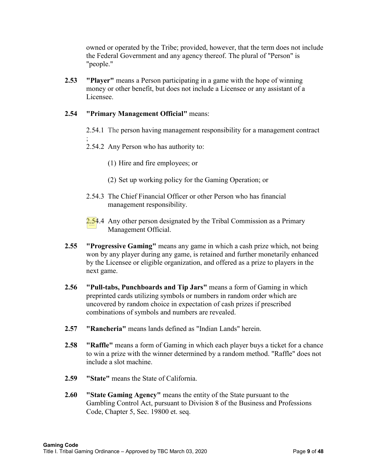owned or operated by the Tribe; provided, however, that the term does not include the Federal Government and any agency thereof. The plural of "Person" is "people."

**2.53 "Player"** means a Person participating in a game with the hope of winning money or other benefit, but does not include a Licensee or any assistant of a Licensee.

## **2.54 "Primary Management Official"** means:

- 2.54.1 The [person having management responsibility for a management contract](https://www.law.cornell.edu/definitions/index.php?width=840&height=800&iframe=true&def_id=7c4aa3811e61e5d5542e4d78df451611&term_occur=999&term_src=Title:25:Chapter:III:Subchapter:A:Part:502:502.19)
- ; 2.54.2 Any Person who has authority to:
	- (1) Hire and fire employees; or
	- (2) Set up working policy for the Gaming Operation; or
- 2.54.3 The Chief Financial Officer or other Person who has financial management responsibility.
- $2.54.4$  Any other person designated by the Tribal Commission as a Primary Management Official.
- **2.55 "Progressive Gaming"** means any game in which a cash prize which, not being won by any player during any game, is retained and further monetarily enhanced by the Licensee or eligible organization, and offered as a prize to players in the next game.
- **2.56 "Pull-tabs, Punchboards and Tip Jars"** means a form of Gaming in which preprinted cards utilizing symbols or numbers in random order which are uncovered by random choice in expectation of cash prizes if prescribed combinations of symbols and numbers are revealed.
- **2.57 "Rancheria"** means lands defined as "Indian Lands" herein.
- **2.58 "Raffle"** means a form of Gaming in which each player buys a ticket for a chance to win a prize with the winner determined by a random method. "Raffle" does not include a slot machine.
- **2.59 "State"** means the State of California.
- **2.60 "State Gaming Agency"** means the entity of the State pursuant to the Gambling Control Act, pursuant to Division 8 of the Business and Professions Code, Chapter 5, Sec. 19800 et. seq.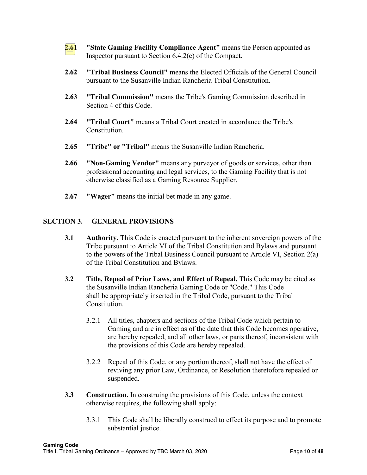- **2.61 "State Gaming Facility Compliance Agent"** means the Person appointed as Inspector pursuant to Section 6.4.2(c) of the Compact.
- **2.62 "Tribal Business Council"** means the Elected Officials of the General Council pursuant to the Susanville Indian Rancheria Tribal Constitution.
- **2.63 "Tribal Commission"** means the Tribe's Gaming Commission described in Section 4 of this Code.
- **2.64 "Tribal Court"** means a Tribal Court created in accordance the Tribe's Constitution.
- **2.65 "Tribe" or "Tribal"** means the Susanville Indian Rancheria.
- **2.66 "Non-Gaming Vendor"** means any purveyor of goods or services, other than professional accounting and legal services, to the Gaming Facility that is not otherwise classified as a Gaming Resource Supplier.
- **2.67 "Wager"** means the initial bet made in any game.

#### **SECTION 3. GENERAL PROVISIONS**

- **3.1** Authority. This Code is enacted pursuant to the inherent sovereign powers of the Tribe pursuant to Article VI of the Tribal Constitution and Bylaws and pursuant to the powers of the Tribal Business Council pursuant to Article VI, Section 2(a) of the Tribal Constitution and Bylaws.
- **3.2** Title, Repeal of Prior Laws, and Effect of Repeal. This Code may be cited as the Susanville Indian Rancheria Gaming Code or "Code." This Code shall be appropriately inserted in the Tribal Code, pursuant to the Tribal Constitution.
	- 3.2.1 All titles, chapters and sections of the Tribal Code which pertain to Gaming and are in effect as of the date that this Code becomes operative, are hereby repealed, and all other laws, or parts thereof, inconsistent with the provisions of this Code are hereby repealed.
	- 3.2.2 Repeal of this Code, or any portion thereof, shall not have the effect of reviving any prior Law, Ordinance, or Resolution theretofore repealed or suspended.
- **3.3 Construction.** In construing the provisions of this Code, unless the context otherwise requires, the following shall apply:
	- 3.3.1 This Code shall be liberally construed to effect its purpose and to promote substantial justice.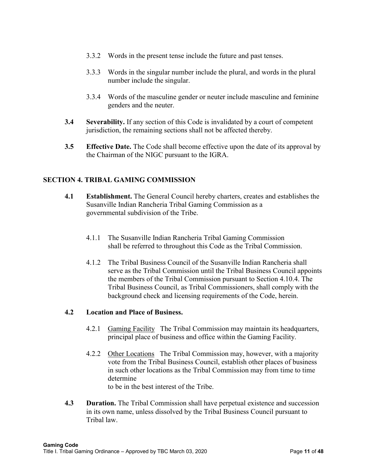- 3.3.2 Words in the present tense include the future and past tenses.
- 3.3.3 Words in the singular number include the plural, and words in the plural number include the singular.
- 3.3.4 Words of the masculine gender or neuter include masculine and feminine genders and the neuter.
- **3.4 Severability.** If any section of this Code is invalidated by a court of competent jurisdiction, the remaining sections shall not be affected thereby.
- **3.5 Effective Date.** The Code shall become effective upon the date of its approval by the Chairman of the NIGC pursuant to the IGRA.

## **SECTION 4. TRIBAL GAMING COMMISSION**

- **4.1 Establishment.** The General Council hereby charters, creates and establishes the Susanville Indian Rancheria Tribal Gaming Commission as a governmental subdivision of the Tribe.
	- 4.1.1 The Susanville Indian Rancheria Tribal Gaming Commission shall be referred to throughout this Code as the Tribal Commission.
	- 4.1.2 The Tribal Business Council of the Susanville Indian Rancheria shall serve as the Tribal Commission until the Tribal Business Council appoints the members of the Tribal Commission pursuant to Section 4.10.4. The Tribal Business Council, as Tribal Commissioners, shall comply with the background check and licensing requirements of the Code, herein.

#### **4.2 Location and Place of Business.**

- 4.2.1 Gaming Facility The Tribal Commission may maintain its headquarters, principal place of business and office within the Gaming Facility.
- 4.2.2 Other Locations The Tribal Commission may, however, with a majority vote from the Tribal Business Council, establish other places of business in such other locations as the Tribal Commission may from time to time determine to be in the best interest of the Tribe.
- **4.3 Duration.** The Tribal Commission shall have perpetual existence and succession in its own name, unless dissolved by the Tribal Business Council pursuant to Tribal law.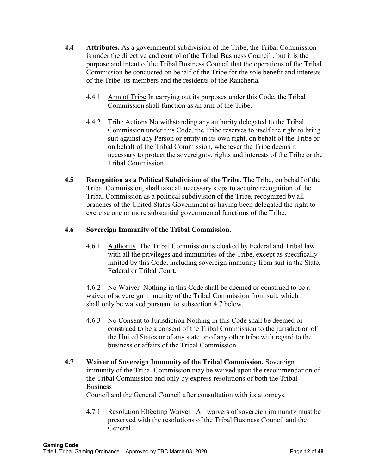- **4.4 Attributes.** As a governmental subdivision of the Tribe, the Tribal Commission is under the directive and control of the Tribal Business Council , but it is the purpose and intent of the Tribal Business Council that the operations of the Tribal Commission be conducted on behalf of the Tribe for the sole benefit and interests of the Tribe, its members and the residents of the Rancheria.
	- 4.4.1 Arm of Tribe In carrying out its purposes under this Code, the Tribal Commission shall function as an arm of the Tribe.
	- 4.4.2 Tribe Actions Notwithstanding any authority delegated to the Tribal Commission under this Code, the Tribe reserves to itself the right to bring suit against any Person or entity in its own right, on behalf of the Tribe or on behalf of the Tribal Commission, whenever the Tribe deems it necessary to protect the sovereignty, rights and interests of the Tribe or the Tribal Commission.
- **4.5 Recognition as a Political Subdivision of the Tribe.** The Tribe, on behalf of the Tribal Commission, shall take all necessary steps to acquire recognition of the Tribal Commission as a political subdivision of the Tribe, recognized by all branches of the United States Government as having been delegated the right to exercise one or more substantial governmental functions of the Tribe.

## **4.6 Sovereign Immunity of the Tribal Commission.**

4.6.1 Authority The Tribal Commission is cloaked by Federal and Tribal law with all the privileges and immunities of the Tribe, except as specifically limited by this Code, including sovereign immunity from suit in the State, Federal or Tribal Court.

4.6.2 No Waiver Nothing in this Code shall be deemed or construed to be a waiver of sovereign immunity of the Tribal Commission from suit, which shall only be waived pursuant to subsection 4.7 below.

- 4.6.3 No Consent to Jurisdiction Nothing in this Code shall be deemed or construed to be a consent of the Tribal Commission to the jurisdiction of the United States or of any state or of any other tribe with regard to the business or affairs of the Tribal Commission.
- **4.7 Waiver of Sovereign Immunity of the Tribal Commission.** Sovereign immunity of the Tribal Commission may be waived upon the recommendation of the Tribal Commission and only by express resolutions of both the Tribal Business

Council and the General Council after consultation with its attorneys.

4.7.1 Resolution Effecting Waiver All waivers of sovereign immunity must be preserved with the resolutions of the Tribal Business Council and the General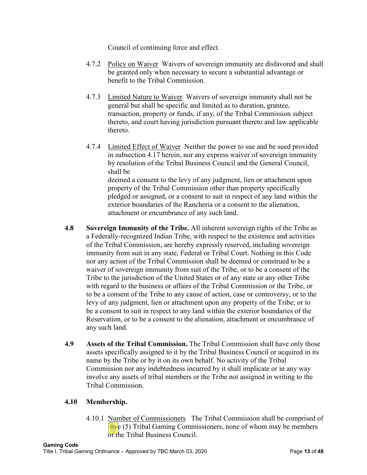Council of continuing force and effect.

- 4.7.2 Policy on Waiver Waivers of sovereign immunity are disfavored and shall be granted only when necessary to secure a substantial advantage or benefit to the Tribal Commission.
- 4.7.3 Limited Nature to Waiver Waivers of sovereign immunity shall not be general but shall be specific and limited as to duration, grantee, transaction, property or funds, if any, of the Tribal Commission subject thereto, and court having jurisdiction pursuant thereto and law applicable thereto.
- 4.7.4 Limited Effect of Waiver Neither the power to sue and be sued provided in subsection 4.17 herein, nor any express waiver of sovereign immunity by resolution of the Tribal Business Council and the General Council, shall be deemed a consent to the levy of any judgment, lien or attachment upon property of the Tribal Commission other than property specifically pledged or assigned, or a consent to suit in respect of any land within the exterior boundaries of the Rancheria or a consent to the alienation, attachment or encumbrance of any such land.
- **4.8 Sovereign Immunity of the Tribe.** All inherent sovereign rights of the Tribe as a Federally-recognized Indian Tribe, with respect to the existence and activities of the Tribal Commission, are hereby expressly reserved, including sovereign immunity from suit in any state, Federal or Tribal Court. Nothing in this Code nor any action of the Tribal Commission shall be deemed or construed to be a waiver of sovereign immunity from suit of the Tribe, or to be a consent of the Tribe to the jurisdiction of the United States or of any state or any other Tribe with regard to the business or affairs of the Tribal Commission or the Tribe, or to be a consent of the Tribe to any cause of action, case or controversy, or to the levy of any judgment, lien or attachment upon any property of the Tribe; or to be a consent to suit in respect to any land within the exterior boundaries of the Reservation, or to be a consent to the alienation, attachment or encumbrance of any such land.
- **4.9 Assets of the Tribal Commission.** The Tribal Commission shall have only those assets specifically assigned to it by the Tribal Business Council or acquired in its name by the Tribe or by it on its own behalf. No activity of the Tribal Commission nor any indebtedness incurred by it shall implicate or in any way involve any assets of tribal members or the Tribe not assigned in writing to the Tribal Commission.

## **4.10 Membership.**

4.10.1 Number of Commissioners The Tribal Commission shall be comprised of  $f_{\text{IV}}$ e (5) Tribal Gaming Commissioners, none of whom may be members of the Tribal Business Council.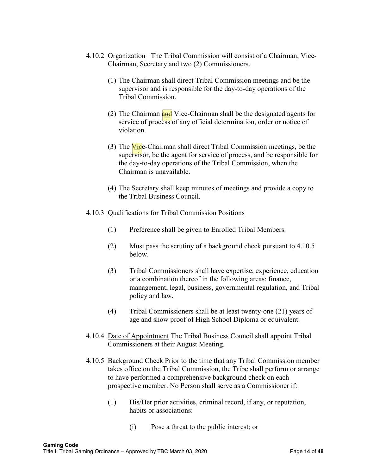- 4.10.2 Organization The Tribal Commission will consist of a Chairman, Vice-Chairman, Secretary and two (2) Commissioners.
	- (1) The Chairman shall direct Tribal Commission meetings and be the supervisor and is responsible for the day-to-day operations of the Tribal Commission.
	- (2) The Chairman and Vice-Chairman shall be the designated agents for service of process of any official determination, order or notice of violation.
	- (3) The Vice-Chairman shall direct Tribal Commission meetings, be the supervisor, be the agent for service of process, and be responsible for the day-to-day operations of the Tribal Commission, when the Chairman is unavailable.
	- (4) The Secretary shall keep minutes of meetings and provide a copy to the Tribal Business Council.

#### 4.10.3 Qualifications for Tribal Commission Positions

- (1) Preference shall be given to Enrolled Tribal Members.
- (2) Must pass the scrutiny of a background check pursuant to 4.10.5 below.
- (3) Tribal Commissioners shall have expertise, experience, education or a combination thereof in the following areas: finance, management, legal, business, governmental regulation, and Tribal policy and law.
- (4) Tribal Commissioners shall be at least twenty-one (21) years of age and show proof of High School Diploma or equivalent.
- 4.10.4 Date of Appointment The Tribal Business Council shall appoint Tribal Commissioners at their August Meeting.
- 4.10.5 Background Check Prior to the time that any Tribal Commission member takes office on the Tribal Commission, the Tribe shall perform or arrange to have performed a comprehensive background check on each prospective member. No Person shall serve as a Commissioner if:
	- (1) His/Her prior activities, criminal record, if any, or reputation, habits or associations:
		- (i) Pose a threat to the public interest; or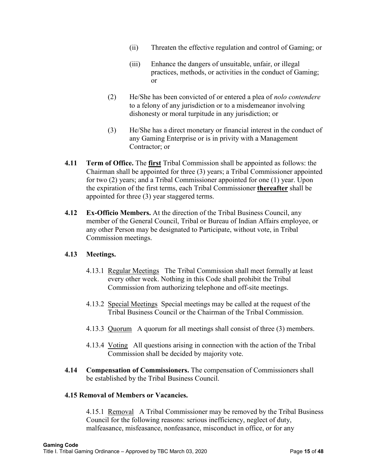- (ii) Threaten the effective regulation and control of Gaming; or
- (iii) Enhance the dangers of unsuitable, unfair, or illegal practices, methods, or activities in the conduct of Gaming; or
- (2) He/She has been convicted of or entered a plea of *nolo contendere* to a felony of any jurisdiction or to a misdemeanor involving dishonesty or moral turpitude in any jurisdiction; or
- (3) He/She has a direct monetary or financial interest in the conduct of any Gaming Enterprise or is in privity with a Management Contractor; or
- **4.11 Term of Office.** The **first** Tribal Commission shall be appointed as follows: the Chairman shall be appointed for three (3) years; a Tribal Commissioner appointed for two (2) years; and a Tribal Commissioner appointed for one (1) year. Upon the expiration of the first terms, each Tribal Commissioner **thereafter** shall be appointed for three (3) year staggered terms.
- **4.12 Ex-Officio Members.** At the direction of the Tribal Business Council, any member of the General Council, Tribal or Bureau of Indian Affairs employee, or any other Person may be designated to Participate, without vote, in Tribal Commission meetings.

## **4.13 Meetings.**

- 4.13.1 Regular Meetings The Tribal Commission shall meet formally at least every other week. Nothing in this Code shall prohibit the Tribal Commission from authorizing telephone and off-site meetings.
- 4.13.2 Special Meetings Special meetings may be called at the request of the Tribal Business Council or the Chairman of the Tribal Commission.
- 4.13.3 Quorum A quorum for all meetings shall consist of three (3) members.
- 4.13.4 Voting All questions arising in connection with the action of the Tribal Commission shall be decided by majority vote.
- **4.14 Compensation of Commissioners.** The compensation of Commissioners shall be established by the Tribal Business Council.

#### **4.15 Removal of Members or Vacancies.**

4.15.1 Removal A Tribal Commissioner may be removed by the Tribal Business Council for the following reasons: serious inefficiency, neglect of duty, malfeasance, misfeasance, nonfeasance, misconduct in office, or for any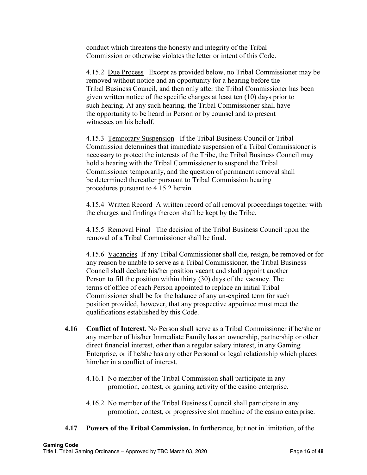conduct which threatens the honesty and integrity of the Tribal Commission or otherwise violates the letter or intent of this Code.

4.15.2 Due Process Except as provided below, no Tribal Commissioner may be removed without notice and an opportunity for a hearing before the Tribal Business Council, and then only after the Tribal Commissioner has been given written notice of the specific charges at least ten (10) days prior to such hearing. At any such hearing, the Tribal Commissioner shall have the opportunity to be heard in Person or by counsel and to present witnesses on his behalf.

4.15.3 Temporary Suspension If the Tribal Business Council or Tribal Commission determines that immediate suspension of a Tribal Commissioner is necessary to protect the interests of the Tribe, the Tribal Business Council may hold a hearing with the Tribal Commissioner to suspend the Tribal Commissioner temporarily, and the question of permanent removal shall be determined thereafter pursuant to Tribal Commission hearing procedures pursuant to 4.15.2 herein.

4.15.4 Written Record A written record of all removal proceedings together with the charges and findings thereon shall be kept by the Tribe.

4.15.5 Removal Final The decision of the Tribal Business Council upon the removal of a Tribal Commissioner shall be final.

4.15.6 Vacancies If any Tribal Commissioner shall die, resign, be removed or for any reason be unable to serve as a Tribal Commissioner, the Tribal Business Council shall declare his/her position vacant and shall appoint another Person to fill the position within thirty (30) days of the vacancy. The terms of office of each Person appointed to replace an initial Tribal Commissioner shall be for the balance of any un-expired term for such position provided, however, that any prospective appointee must meet the qualifications established by this Code.

- **4.16 Conflict of Interest.** No Person shall serve as a Tribal Commissioner if he/she or any member of his/her Immediate Family has an ownership, partnership or other direct financial interest, other than a regular salary interest, in any Gaming Enterprise, or if he/she has any other Personal or legal relationship which places him/her in a conflict of interest.
	- 4.16.1 No member of the Tribal Commission shall participate in any promotion, contest, or gaming activity of the casino enterprise.
	- 4.16.2 No member of the Tribal Business Council shall participate in any promotion, contest, or progressive slot machine of the casino enterprise.
- **4.17 Powers of the Tribal Commission.** In furtherance, but not in limitation, of the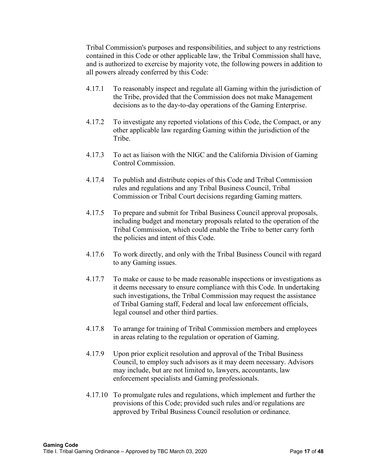Tribal Commission's purposes and responsibilities, and subject to any restrictions contained in this Code or other applicable law, the Tribal Commission shall have, and is authorized to exercise by majority vote, the following powers in addition to all powers already conferred by this Code:

- 4.17.1 To reasonably inspect and regulate all Gaming within the jurisdiction of the Tribe, provided that the Commission does not make Management decisions as to the day-to-day operations of the Gaming Enterprise.
- 4.17.2 To investigate any reported violations of this Code, the Compact, or any other applicable law regarding Gaming within the jurisdiction of the Tribe.
- 4.17.3 To act as liaison with the NIGC and the California Division of Gaming Control Commission.
- 4.17.4 To publish and distribute copies of this Code and Tribal Commission rules and regulations and any Tribal Business Council, Tribal Commission or Tribal Court decisions regarding Gaming matters.
- 4.17.5 To prepare and submit for Tribal Business Council approval proposals, including budget and monetary proposals related to the operation of the Tribal Commission, which could enable the Tribe to better carry forth the policies and intent of this Code.
- 4.17.6 To work directly, and only with the Tribal Business Council with regard to any Gaming issues.
- 4.17.7 To make or cause to be made reasonable inspections or investigations as it deems necessary to ensure compliance with this Code. In undertaking such investigations, the Tribal Commission may request the assistance of Tribal Gaming staff, Federal and local law enforcement officials, legal counsel and other third parties.
- 4.17.8 To arrange for training of Tribal Commission members and employees in areas relating to the regulation or operation of Gaming.
- 4.17.9 Upon prior explicit resolution and approval of the Tribal Business Council, to employ such advisors as it may deem necessary. Advisors may include, but are not limited to, lawyers, accountants, law enforcement specialists and Gaming professionals.
- 4.17.10 To promulgate rules and regulations, which implement and further the provisions of this Code; provided such rules and/or regulations are approved by Tribal Business Council resolution or ordinance.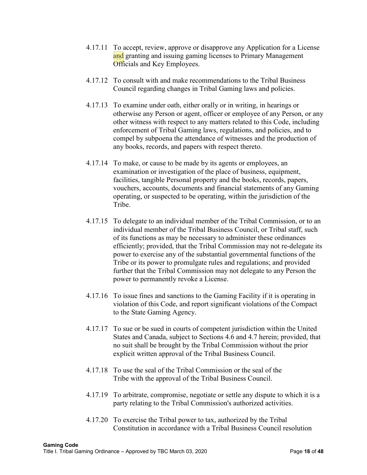- 4.17.11 To accept, review, approve or disapprove any Application for a License and granting and issuing gaming licenses to Primary Management Officials and Key Employees.
- 4.17.12 To consult with and make recommendations to the Tribal Business Council regarding changes in Tribal Gaming laws and policies.
- 4.17.13 To examine under oath, either orally or in writing, in hearings or otherwise any Person or agent, officer or employee of any Person, or any other witness with respect to any matters related to this Code, including enforcement of Tribal Gaming laws, regulations, and policies, and to compel by subpoena the attendance of witnesses and the production of any books, records, and papers with respect thereto.
- 4.17.14 To make, or cause to be made by its agents or employees, an examination or investigation of the place of business, equipment, facilities, tangible Personal property and the books, records, papers, vouchers, accounts, documents and financial statements of any Gaming operating, or suspected to be operating, within the jurisdiction of the Tribe.
- 4.17.15 To delegate to an individual member of the Tribal Commission, or to an individual member of the Tribal Business Council, or Tribal staff, such of its functions as may be necessary to administer these ordinances efficiently; provided, that the Tribal Commission may not re-delegate its power to exercise any of the substantial governmental functions of the Tribe or its power to promulgate rules and regulations; and provided further that the Tribal Commission may not delegate to any Person the power to permanently revoke a License.
- 4.17.16 To issue fines and sanctions to the Gaming Facility if it is operating in violation of this Code, and report significant violations of the Compact to the State Gaming Agency.
- 4.17.17 To sue or be sued in courts of competent jurisdiction within the United States and Canada, subject to Sections 4.6 and 4.7 herein; provided, that no suit shall be brought by the Tribal Commission without the prior explicit written approval of the Tribal Business Council.
- 4.17.18 To use the seal of the Tribal Commission or the seal of the Tribe with the approval of the Tribal Business Council.
- 4.17.19 To arbitrate, compromise, negotiate or settle any dispute to which it is a party relating to the Tribal Commission's authorized activities.
- 4.17.20 To exercise the Tribal power to tax, authorized by the Tribal Constitution in accordance with a Tribal Business Council resolution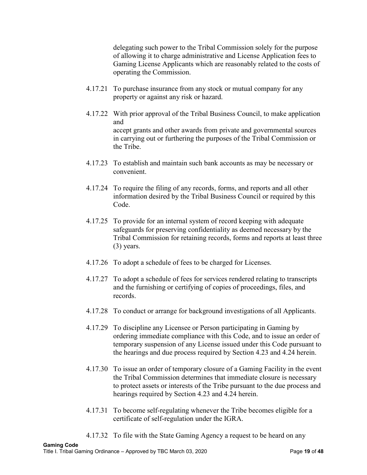delegating such power to the Tribal Commission solely for the purpose of allowing it to charge administrative and License Application fees to Gaming License Applicants which are reasonably related to the costs of operating the Commission.

- 4.17.21 To purchase insurance from any stock or mutual company for any property or against any risk or hazard.
- 4.17.22 With prior approval of the Tribal Business Council, to make application and accept grants and other awards from private and governmental sources in carrying out or furthering the purposes of the Tribal Commission or the Tribe.
- 4.17.23 To establish and maintain such bank accounts as may be necessary or convenient.
- 4.17.24 To require the filing of any records, forms, and reports and all other information desired by the Tribal Business Council or required by this Code.
- 4.17.25 To provide for an internal system of record keeping with adequate safeguards for preserving confidentiality as deemed necessary by the Tribal Commission for retaining records, forms and reports at least three (3) years.
- 4.17.26 To adopt a schedule of fees to be charged for Licenses.
- 4.17.27 To adopt a schedule of fees for services rendered relating to transcripts and the furnishing or certifying of copies of proceedings, files, and records.
- 4.17.28 To conduct or arrange for background investigations of all Applicants.
- 4.17.29 To discipline any Licensee or Person participating in Gaming by ordering immediate compliance with this Code, and to issue an order of temporary suspension of any License issued under this Code pursuant to the hearings and due process required by Section 4.23 and 4.24 herein.
- 4.17.30 To issue an order of temporary closure of a Gaming Facility in the event the Tribal Commission determines that immediate closure is necessary to protect assets or interests of the Tribe pursuant to the due process and hearings required by Section 4.23 and 4.24 herein.
- 4.17.31 To become self-regulating whenever the Tribe becomes eligible for a certificate of self-regulation under the IGRA.
- 4.17.32 To file with the State Gaming Agency a request to be heard on any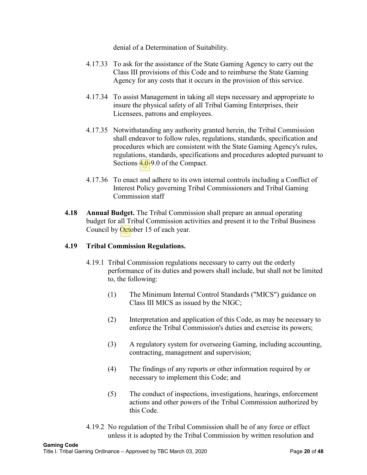denial of a Determination of Suitability.

- 4.17.33 To ask for the assistance of the State Gaming Agency to carry out the Class III provisions of this Code and to reimburse the State Gaming Agency for any costs that it occurs in the provision of this service.
- 4.17.34 To assist Management in taking all steps necessary and appropriate to insure the physical safety of all Tribal Gaming Enterprises, their Licensees, patrons and employees.
- 4.17.35 Notwithstanding any authority granted herein, the Tribal Commission shall endeavor to follow rules, regulations, standards, specification and procedures which are consistent with the State Gaming Agency's rules, regulations, standards, specifications and procedures adopted pursuant to Sections  $4.0-9.0$  of the Compact.
- 4.17.36 To enact and adhere to its own internal controls including a Conflict of Interest Policy governing Tribal Commissioners and Tribal Gaming Commission staff
- **4.18 Annual Budget.** The Tribal Commission shall prepare an annual operating budget for all Tribal Commission activities and present it to the Tribal Business Council by October 15 of each year.

#### **4.19 Tribal Commission Regulations.**

- 4.19.1 Tribal Commission regulations necessary to carry out the orderly performance of its duties and powers shall include, but shall not be limited to, the following:
	- (1) The Minimum Internal Control Standards ("MICS") guidance on Class III MICS as issued by the NIGC;
	- (2) Interpretation and application of this Code, as may be necessary to enforce the Tribal Commission's duties and exercise its powers;
	- (3) A regulatory system for overseeing Gaming, including accounting, contracting, management and supervision;
	- (4) The findings of any reports or other information required by or necessary to implement this Code; and
	- (5) The conduct of inspections, investigations, hearings, enforcement actions and other powers of the Tribal Commission authorized by this Code.
- 4.19.2 No regulation of the Tribal Commission shall be of any force or effect unless it is adopted by the Tribal Commission by written resolution and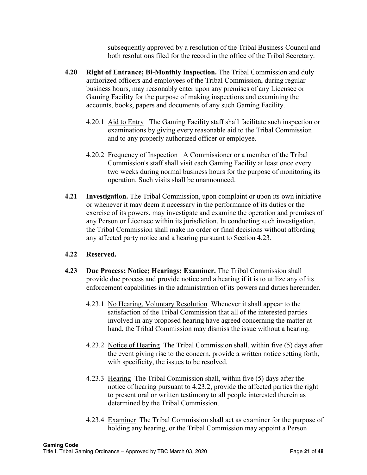subsequently approved by a resolution of the Tribal Business Council and both resolutions filed for the record in the office of the Tribal Secretary.

- **4.20 Right of Entrance; Bi-Monthly Inspection.** The Tribal Commission and duly authorized officers and employees of the Tribal Commission, during regular business hours, may reasonably enter upon any premises of any Licensee or Gaming Facility for the purpose of making inspections and examining the accounts, books, papers and documents of any such Gaming Facility.
	- 4.20.1 Aid to Entry The Gaming Facility staff shall facilitate such inspection or examinations by giving every reasonable aid to the Tribal Commission and to any properly authorized officer or employee.
	- 4.20.2 Frequency of Inspection A Commissioner or a member of the Tribal Commission's staff shall visit each Gaming Facility at least once every two weeks during normal business hours for the purpose of monitoring its operation. Such visits shall be unannounced.
- **4.21 Investigation.** The Tribal Commission, upon complaint or upon its own initiative or whenever it may deem it necessary in the performance of its duties or the exercise of its powers, may investigate and examine the operation and premises of any Person or Licensee within its jurisdiction. In conducting such investigation, the Tribal Commission shall make no order or final decisions without affording any affected party notice and a hearing pursuant to Section 4.23.

## **4.22 Reserved.**

- **4.23 Due Process; Notice; Hearings; Examiner.** The Tribal Commission shall provide due process and provide notice and a hearing if it is to utilize any of its enforcement capabilities in the administration of its powers and duties hereunder.
	- 4.23.1 No Hearing, Voluntary Resolution Whenever it shall appear to the satisfaction of the Tribal Commission that all of the interested parties involved in any proposed hearing have agreed concerning the matter at hand, the Tribal Commission may dismiss the issue without a hearing.
	- 4.23.2 Notice of Hearing The Tribal Commission shall, within five (5) days after the event giving rise to the concern, provide a written notice setting forth, with specificity, the issues to be resolved.
	- 4.23.3 Hearing The Tribal Commission shall, within five (5) days after the notice of hearing pursuant to 4.23.2, provide the affected parties the right to present oral or written testimony to all people interested therein as determined by the Tribal Commission.
	- 4.23.4 Examiner The Tribal Commission shall act as examiner for the purpose of holding any hearing, or the Tribal Commission may appoint a Person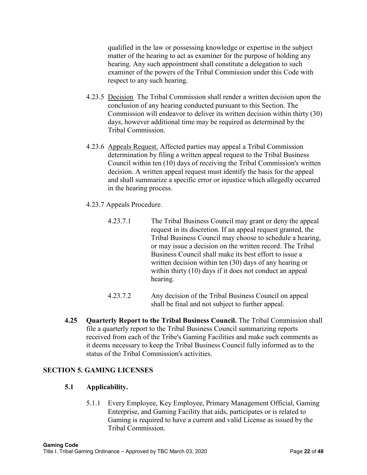qualified in the law or possessing knowledge or expertise in the subject matter of the hearing to act as examiner for the purpose of holding any hearing. Any such appointment shall constitute a delegation to such examiner of the powers of the Tribal Commission under this Code with respect to any such hearing.

- 4.23.5 Decision The Tribal Commission shall render a written decision upon the conclusion of any hearing conducted pursuant to this Section. The Commission will endeavor to deliver its written decision within thirty (30) days, however additional time may be required as determined by the Tribal Commission.
- 4.23.6 Appeals Request. Affected parties may appeal a Tribal Commission determination by filing a written appeal request to the Tribal Business Council within ten (10) days of receiving the Tribal Commission's written decision. A written appeal request must identify the basis for the appeal and shall summarize a specific error or injustice which allegedly occurred in the hearing process.
- 4.23.7 Appeals Procedure.
	- 4.23.7.1 The Tribal Business Council may grant or deny the appeal request in its discretion. If an appeal request granted, the Tribal Business Council may choose to schedule a hearing, or may issue a decision on the written record. The Tribal Business Council shall make its best effort to issue a written decision within ten (30) days of any hearing or within thirty (10) days if it does not conduct an appeal hearing.
	- 4.23.7.2 Any decision of the Tribal Business Council on appeal shall be final and not subject to further appeal.
- **4.25 Quarterly Report to the Tribal Business Council.** The Tribal Commission shall file a quarterly report to the Tribal Business Council summarizing reports received from each of the Tribe's Gaming Facilities and make such comments as it deems necessary to keep the Tribal Business Council fully informed as to the status of the Tribal Commission's activities.

#### **SECTION 5. GAMING LICENSES**

#### **5.1 Applicability.**

5.1.1 Every Employee, Key Employee, Primary Management Official, Gaming Enterprise, and Gaming Facility that aids, participates or is related to Gaming is required to have a current and valid License as issued by the Tribal Commission.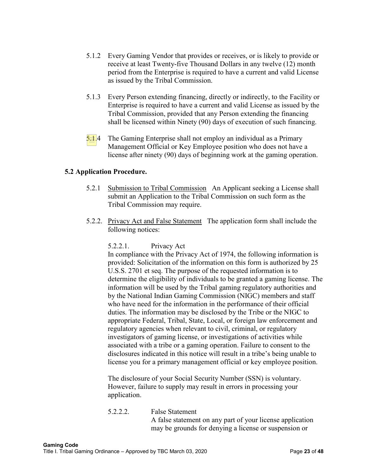- 5.1.2 Every Gaming Vendor that provides or receives, or is likely to provide or receive at least Twenty-five Thousand Dollars in any twelve (12) month period from the Enterprise is required to have a current and valid License as issued by the Tribal Commission.
- 5.1.3 Every Person extending financing, directly or indirectly, to the Facility or Enterprise is required to have a current and valid License as issued by the Tribal Commission, provided that any Person extending the financing shall be licensed within Ninety (90) days of execution of such financing.
- $5.1.4$  The Gaming Enterprise shall not employ an individual as a Primary Management Official or Key Employee position who does not have a license after ninety (90) days of beginning work at the gaming operation.

#### **5.2 Application Procedure.**

- 5.2.1 Submission to Tribal Commission An Applicant seeking a License shall submit an Application to the Tribal Commission on such form as the Tribal Commission may require.
- 5.2.2. Privacy Act and False Statement The application form shall include the following notices:

#### 5.2.2.1. Privacy Act

In compliance with the Privacy Act of 1974, the following information is provided: Solicitation of the information on this form is authorized by 25 U.S.S. 2701 et seq. The purpose of the requested information is to determine the eligibility of individuals to be granted a gaming license. The information will be used by the Tribal gaming regulatory authorities and by the National Indian Gaming Commission (NIGC) members and staff who have need for the information in the performance of their official duties. The information may be disclosed by the Tribe or the NIGC to appropriate Federal, Tribal, State, Local, or foreign law enforcement and regulatory agencies when relevant to civil, criminal, or regulatory investigators of gaming license, or investigations of activities while associated with a tribe or a gaming operation. Failure to consent to the disclosures indicated in this notice will result in a tribe's being unable to license you for a primary management official or key employee position.

The disclosure of your Social Security Number (SSN) is voluntary. However, failure to supply may result in errors in processing your application.

5.2.2.2. False Statement A false statement on any part of your license application may be grounds for denying a license or suspension or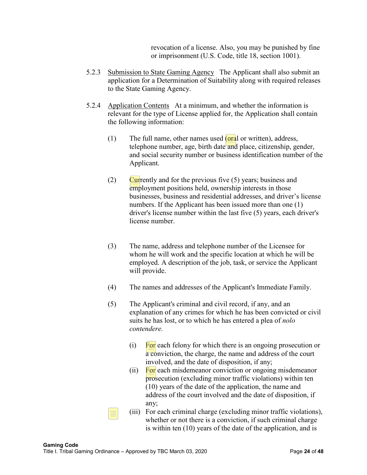revocation of a license. Also, you may be punished by fine or imprisonment (U.S. Code, title 18, section 1001).

- 5.2.3 Submission to State Gaming Agency The Applicant shall also submit an application for a Determination of Suitability along with required releases to the State Gaming Agency.
- 5.2.4 Application Contents At a minimum, and whether the information is relevant for the type of License applied for, the Application shall contain the following information:
	- (1) The full name, other names used  $(\text{oral or written})$ , address, telephone number, age, birth date and place, citizenship, gender, and social security number or business identification number of the Applicant.
	- (2) Currently and for the previous five  $(5)$  years; business and employment positions held, ownership interests in those businesses, business and residential addresses, and driver's license numbers. If the Applicant has been issued more than one (1) driver's license number within the last five (5) years, each driver's license number.
	- (3) The name, address and telephone number of the Licensee for whom he will work and the specific location at which he will be employed. A description of the job, task, or service the Applicant will provide.
	- (4) The names and addresses of the Applicant's Immediate Family.
	- (5) The Applicant's criminal and civil record, if any, and an explanation of any crimes for which he has been convicted or civil suits he has lost, or to which he has entered a plea of *nolo contendere.*
		- $(i)$  For each felony for which there is an ongoing prosecution or a conviction, the charge, the name and address of the court involved, and the date of disposition, if any;
		- (ii) For each misdemeanor conviction or ongoing misdemeanor prosecution (excluding minor traffic violations) within ten (10) years of the date of the application, the name and address of the court involved and the date of disposition, if any;
		- (iii) For each criminal charge (excluding minor traffic violations), whether or not there is a conviction, if such criminal charge is within ten (10) years of the date of the application, and is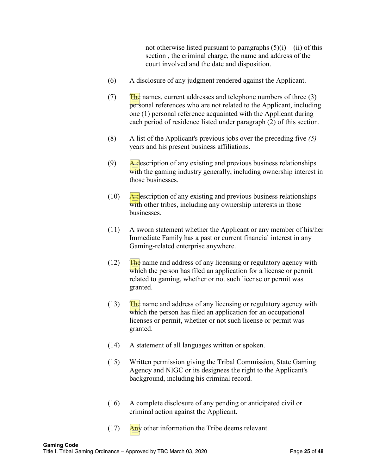not otherwise listed pursuant to paragraphs  $(5)(i) - (ii)$  of this section , the criminal charge, the name and address of the court involved and the date and disposition.

- (6) A disclosure of any judgment rendered against the Applicant.
- $(T)$  The names, current addresses and telephone numbers of three (3) personal references who are not related to the Applicant, including one (1) personal reference acquainted with the Applicant during each period of residence listed under paragraph (2) of this section.
- (8) A list of the Applicant's previous jobs over the preceding five *(5)* years and his present business affiliations.
- $(9)$  A description of any existing and previous business relationships with the gaming industry generally, including ownership interest in those businesses.
- $(10)$  A description of any existing and previous business relationships with other tribes, including any ownership interests in those businesses.
- (11) A sworn statement whether the Applicant or any member of his/her Immediate Family has a past or current financial interest in any Gaming-related enterprise anywhere.
- $(12)$  The name and address of any licensing or regulatory agency with which the person has filed an application for a license or permit related to gaming, whether or not such license or permit was granted.
- $(13)$  The name and address of any licensing or regulatory agency with which the person has filed an application for an occupational licenses or permit, whether or not such license or permit was granted.
- (14) A statement of all languages written or spoken.
- (15) Written permission giving the Tribal Commission, State Gaming Agency and NIGC or its designees the right to the Applicant's background, including his criminal record.
- (16) A complete disclosure of any pending or anticipated civil or criminal action against the Applicant.
- $(17)$  Any other information the Tribe deems relevant.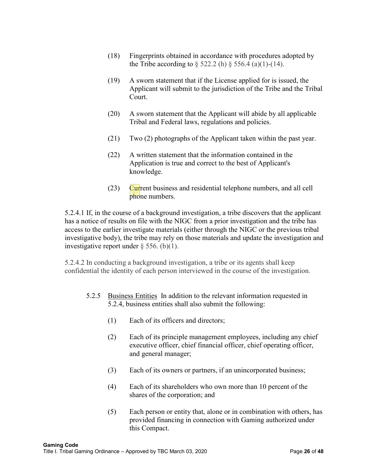- (18) Fingerprints obtained in accordance with procedures adopted by the Tribe according to  $\S$  522.2 (h)  $\S$  556.4 (a)(1)-(14).
- (19) A sworn statement that if the License applied for is issued, the Applicant will submit to the jurisdiction of the Tribe and the Tribal Court.
- (20) A sworn statement that the Applicant will abide by all applicable Tribal and Federal laws, regulations and policies.
- (21) Two (2) photographs of the Applicant taken within the past year.
- (22) A written statement that the information contained in the Application is true and correct to the best of Applicant's knowledge.
- $(23)$  Current business and residential telephone numbers, and all cell phone numbers.

5.2.4.1 If, in the course of a background investigation, a tribe discovers that the applicant has a notice of results on file with the NIGC from a prior investigation and the tribe has access to the earlier investigate materials (either through the NIGC or the previous tribal investigative body), the tribe may rely on those materials and update the investigation and investigative report under  $\S$  556. (b)(1).

5.2.4.2 In conducting a background investigation, a tribe or its agents shall keep confidential the identity of each person interviewed in the course of the investigation.

- 5.2.5 Business Entities In addition to the relevant information requested in 5.2.4, business entities shall also submit the following:
	- (1) Each of its officers and directors;
	- (2) Each of its principle management employees, including any chief executive officer, chief financial officer, chief operating officer, and general manager;
	- (3) Each of its owners or partners, if an unincorporated business;
	- (4) Each of its shareholders who own more than 10 percent of the shares of the corporation; and
	- (5) Each person or entity that, alone or in combination with others, has provided financing in connection with Gaming authorized under this Compact.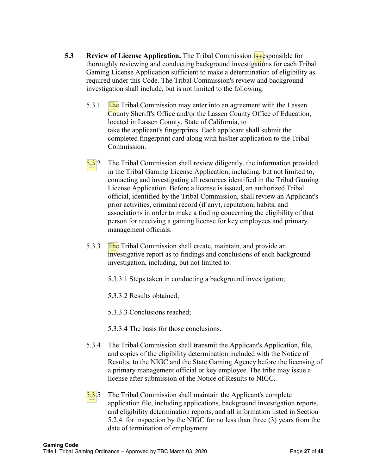- **5.3** Review of License Application. The Tribal Commission **S** responsible for thoroughly reviewing and conducting background investigations for each Tribal Gaming License Application sufficient to make a determination of eligibility as required under this Code. The Tribal Commission's review and background investigation shall include, but is not limited to the following:
	- 5.3.1 The Tribal Commission may enter into an agreement with the Lassen County Sheriff's Office and/or the Lassen County Office of Education, located in Lassen County, State of California, to take the applicant's fingerprints. Each applicant shall submit the completed fingerprint card along with his/her application to the Tribal Commission.
	- 5.3.2 The Tribal Commission shall review diligently, the information provided in the Tribal Gaming License Application, including, but not limited to, contacting and investigating all resources identified in the Tribal Gaming License Application. Before a license is issued, an authorized Tribal official, identified by the Tribal Commission, shall review an Applicant's prior activities, criminal record (if any), reputation, habits, and associations in order to make a finding concerning the eligibility of that person for receiving a gaming license for key employees and primary management officials.
	- 5.3.3 The Tribal Commission shall create, maintain, and provide an investigative report as to findings and conclusions of each background investigation, including, but not limited to:
		- 5.3.3.1 Steps taken in conducting a background investigation;
		- 5.3.3.2 Results obtained;
		- 5.3.3.3 Conclusions reached;
		- 5.3.3.4 The basis for those conclusions.
	- 5.3.4 The Tribal Commission shall transmit the Applicant's Application, file, and copies of the eligibility determination included with the Notice of Results, to the NIGC and the State Gaming Agency before the licensing of a primary management official or key employee. The tribe may issue a license after submission of the Notice of Results to NIGC.
	- 5.3.5 The Tribal Commission shall maintain the Applicant's complete application file, including applications, background investigation reports, and eligibility determination reports, and all information listed in Section 5.2.4. for inspection by the NIGC for no less than three (3) years from the date of termination of employment.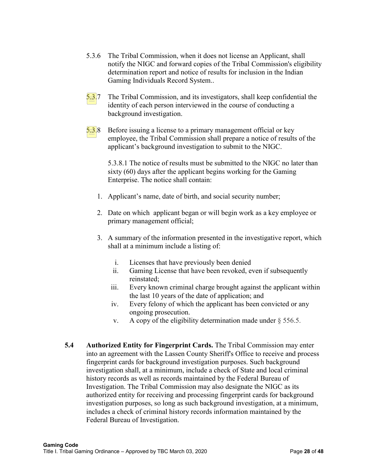- 5.3.6 The Tribal Commission, when it does not license an Applicant, shall notify the NIGC and forward copies of the Tribal Commission's eligibility determination report and notice of results for inclusion in the Indian Gaming Individuals Record System..
- 5.3.7 The Tribal Commission, and its investigators, shall keep confidential the identity of each person interviewed in the course of conducting a background investigation.
- 5.3.8 Before issuing a license to a primary management official or key employee, the Tribal Commission shall prepare a notice of results of the applicant's background investigation to submit to the NIGC.

5.3.8.1 The notice of results must be submitted to the NIGC no later than sixty (60) days after the applicant begins working for the Gaming Enterprise. The notice shall contain:

- 1. Applicant's name, date of birth, and social security number;
- 2. Date on which applicant began or will begin work as a key employee or primary management official;
- 3. A summary of the information presented in the investigative report, which shall at a minimum include a listing of:
	- i. Licenses that have previously been denied
	- ii. Gaming License that have been revoked, even if subsequently reinstated;
	- iii. Every known criminal charge brought against the applicant within the last 10 years of the date of application; and
	- iv. Every felony of which the applicant has been convicted or any ongoing prosecution.
	- v. A copy of the eligibility determination made under  $\S$  556.5.
- **5.4 Authorized Entity for Fingerprint Cards.** The Tribal Commission may enter into an agreement with the Lassen County Sheriff's Office to receive and process fingerprint cards for background investigation purposes. Such background investigation shall, at a minimum, include a check of State and local criminal history records as well as records maintained by the Federal Bureau of Investigation. The Tribal Commission may also designate the NIGC as its authorized entity for receiving and processing fingerprint cards for background investigation purposes, so long as such background investigation, at a minimum, includes a check of criminal history records information maintained by the Federal Bureau of Investigation.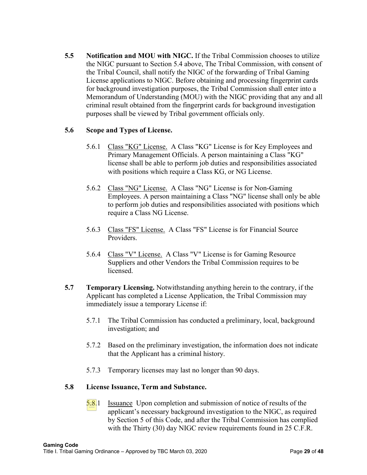**5.5 Notification and MOU with NIGC.** If the Tribal Commission chooses to utilize the NIGC pursuant to Section 5.4 above, The Tribal Commission, with consent of the Tribal Council, shall notify the NIGC of the forwarding of Tribal Gaming License applications to NIGC. Before obtaining and processing fingerprint cards for background investigation purposes, the Tribal Commission shall enter into a Memorandum of Understanding (MOU) with the NIGC providing that any and all criminal result obtained from the fingerprint cards for background investigation purposes shall be viewed by Tribal government officials only.

#### **5.6 Scope and Types of License.**

- 5.6.1 Class "KG" License. A Class "KG" License is for Key Employees and Primary Management Officials. A person maintaining a Class "KG" license shall be able to perform job duties and responsibilities associated with positions which require a Class KG, or NG License.
- 5.6.2 Class "NG" License. A Class "NG" License is for Non-Gaming Employees. A person maintaining a Class "NG" license shall only be able to perform job duties and responsibilities associated with positions which require a Class NG License.
- 5.6.3 Class "FS" License. A Class "FS" License is for Financial Source Providers.
- 5.6.4 Class "V" License. A Class "V" License is for Gaming Resource Suppliers and other Vendors the Tribal Commission requires to be licensed.
- **5.7 Temporary Licensing.** Notwithstanding anything herein to the contrary, if the Applicant has completed a License Application, the Tribal Commission may immediately issue a temporary License if:
	- 5.7.1 The Tribal Commission has conducted a preliminary, local, background investigation; and
	- 5.7.2 Based on the preliminary investigation, the information does not indicate that the Applicant has a criminal history.
	- 5.7.3 Temporary licenses may last no longer than 90 days.

#### **5.8 License Issuance, Term and Substance.**

5.8.1 Issuance Upon completion and submission of notice of results of the applicant's necessary background investigation to the NIGC, as required by Section 5 of this Code, and after the Tribal Commission has complied with the Thirty (30) day NIGC review requirements found in 25 C.F.R.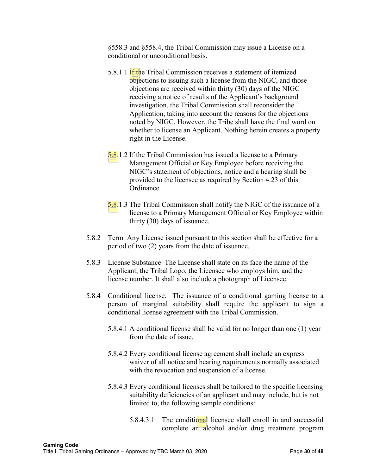§558.3 and §558.4, the Tribal Commission may issue a License on a conditional or unconditional basis.

- 5.8.1.1 If the Tribal Commission receives a statement of itemized objections to issuing such a license from the NIGC, and those objections are received within thirty (30) days of the NIGC receiving a notice of results of the Applicant's background investigation, the Tribal Commission shall reconsider the Application, taking into account the reasons for the objections noted by NIGC. However, the Tribe shall have the final word on whether to license an Applicant. Nothing herein creates a property right in the License.
- 5.8.1.2 If the Tribal Commission has issued a license to a Primary Management Official or Key Employee before receiving the NIGC's statement of objections, notice and a hearing shall be provided to the licensee as required by Section 4.23 of this Ordinance.
- 5.8.1.3 The Tribal Commission shall notify the NIGC of the issuance of a license to a Primary Management Official or Key Employee within thirty (30) days of issuance.
- 5.8.2 Term Any License issued pursuant to this section shall be effective for a period of two (2) years from the date of issuance.
- 5.8.3 License Substance The License shall state on its face the name of the Applicant, the Tribal Logo, the Licensee who employs him, and the license number. It shall also include a photograph of Licensee.
- 5.8.4 Conditional license. The issuance of a conditional gaming license to a person of marginal suitability shall require the applicant to sign a conditional license agreement with the Tribal Commission.
	- 5.8.4.1 A conditional license shall be valid for no longer than one (1) year from the date of issue.
	- 5.8.4.2 Every conditional license agreement shall include an express waiver of all notice and hearing requirements normally associated with the revocation and suspension of a license.
	- 5.8.4.3 Every conditional licenses shall be tailored to the specific licensing suitability deficiencies of an applicant and may include, but is not limited to, the following sample conditions:
		- 5.8.4.3.1 The conditional licensee shall enroll in and successful complete an alcohol and/or drug treatment program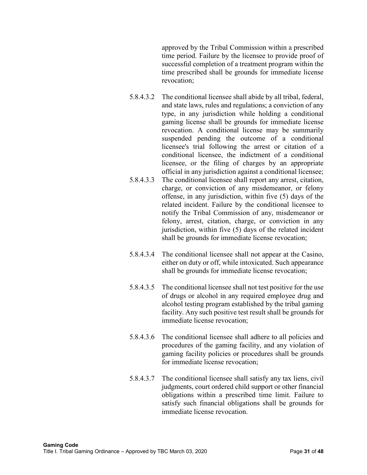approved by the Tribal Commission within a prescribed time period. Failure by the licensee to provide proof of successful completion of a treatment program within the time prescribed shall be grounds for immediate license revocation;

- 5.8.4.3.2 The conditional licensee shall abide by all tribal, federal, and state laws, rules and regulations; a conviction of any type, in any jurisdiction while holding a conditional gaming license shall be grounds for immediate license revocation. A conditional license may be summarily suspended pending the outcome of a conditional licensee's trial following the arrest or citation of a conditional licensee, the indictment of a conditional licensee, or the filing of charges by an appropriate official in any jurisdiction against a conditional licensee;
- 5.8.4.3.3 The conditional licensee shall report any arrest, citation, charge, or conviction of any misdemeanor, or felony offense, in any jurisdiction, within five (5) days of the related incident. Failure by the conditional licensee to notify the Tribal Commission of any, misdemeanor or felony, arrest, citation, charge, or conviction in any jurisdiction, within five (5) days of the related incident shall be grounds for immediate license revocation;
- 5.8.4.3.4 The conditional licensee shall not appear at the Casino, either on duty or off, while intoxicated. Such appearance shall be grounds for immediate license revocation;
- 5.8.4.3.5 The conditional licensee shall not test positive for the use of drugs or alcohol in any required employee drug and alcohol testing program established by the tribal gaming facility. Any such positive test result shall be grounds for immediate license revocation;
- 5.8.4.3.6 The conditional licensee shall adhere to all policies and procedures of the gaming facility, and any violation of gaming facility policies or procedures shall be grounds for immediate license revocation;
- 5.8.4.3.7 The conditional licensee shall satisfy any tax liens, civil judgments, court ordered child support or other financial obligations within a prescribed time limit. Failure to satisfy such financial obligations shall be grounds for immediate license revocation.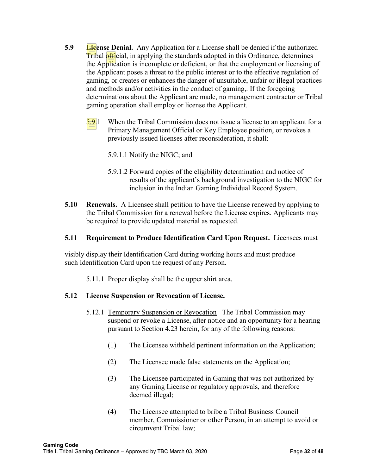- **5.9 License Denial.** Any Application for a License shall be denied if the authorized Tribal official, in applying the standards adopted in this Ordinance, determines the Application is incomplete or deficient, or that the employment or licensing of the Applicant poses a threat to the public interest or to the effective regulation of gaming, or creates or enhances the danger of unsuitable, unfair or illegal practices and methods and/or activities in the conduct of gaming,. If the foregoing determinations about the Applicant are made, no management contractor or Tribal gaming operation shall employ or license the Applicant.
	- 5.9.1 When the Tribal Commission does not issue a license to an applicant for a Primary Management Official or Key Employee position, or revokes a previously issued licenses after reconsideration, it shall:
		- 5.9.1.1 Notify the NIGC; and
		- 5.9.1.2 Forward copies of the eligibility determination and notice of results of the applicant's background investigation to the NIGC for inclusion in the Indian Gaming Individual Record System.
- **5.10 Renewals.** A Licensee shall petition to have the License renewed by applying to the Tribal Commission for a renewal before the License expires. Applicants may be required to provide updated material as requested.

#### **5.11 Requirement to Produce Identification Card Upon Request.** Licensees must

visibly display their Identification Card during working hours and must produce such Identification Card upon the request of any Person.

5.11.1 Proper display shall be the upper shirt area.

#### **5.12 License Suspension or Revocation of License.**

- 5.12.1 Temporary Suspension or Revocation The Tribal Commission may suspend or revoke a License, after notice and an opportunity for a hearing pursuant to Section 4.23 herein, for any of the following reasons:
	- (1) The Licensee withheld pertinent information on the Application;
	- (2) The Licensee made false statements on the Application;
	- (3) The Licensee participated in Gaming that was not authorized by any Gaming License or regulatory approvals, and therefore deemed illegal;
	- (4) The Licensee attempted to bribe a Tribal Business Council member, Commissioner or other Person, in an attempt to avoid or circumvent Tribal law;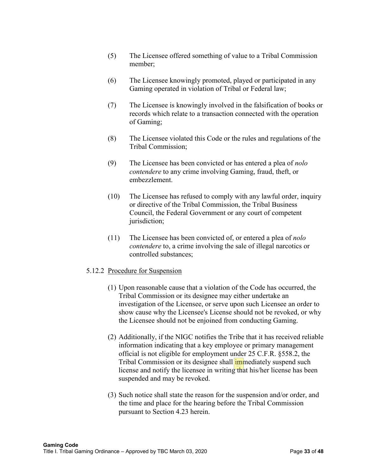- (5) The Licensee offered something of value to a Tribal Commission member;
- (6) The Licensee knowingly promoted, played or participated in any Gaming operated in violation of Tribal or Federal law;
- (7) The Licensee is knowingly involved in the falsification of books or records which relate to a transaction connected with the operation of Gaming;
- (8) The Licensee violated this Code or the rules and regulations of the Tribal Commission;
- (9) The Licensee has been convicted or has entered a plea of *nolo contendere* to any crime involving Gaming, fraud, theft, or embezzlement.
- (10) The Licensee has refused to comply with any lawful order, inquiry or directive of the Tribal Commission, the Tribal Business Council, the Federal Government or any court of competent jurisdiction;
- (11) The Licensee has been convicted of, or entered a plea of *nolo contendere* to, a crime involving the sale of illegal narcotics or controlled substances;

#### 5.12.2 Procedure for Suspension

- (1) Upon reasonable cause that a violation of the Code has occurred, the Tribal Commission or its designee may either undertake an investigation of the Licensee, or serve upon such Licensee an order to show cause why the Licensee's License should not be revoked, or why the Licensee should not be enjoined from conducting Gaming.
- (2) Additionally, if the NIGC notifies the Tribe that it has received reliable information indicating that a key employee or primary management official is not eligible for employment under 25 C.F.R. §558.2, the Tribal Commission or its designee shall **immediately** suspend such license and notify the licensee in writing that his/her license has been suspended and may be revoked.
- (3) Such notice shall state the reason for the suspension and/or order, and the time and place for the hearing before the Tribal Commission pursuant to Section 4.23 herein.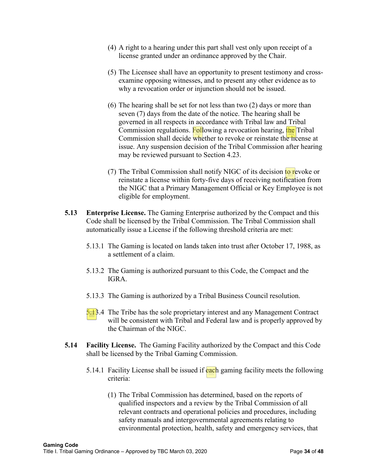- (4) A right to a hearing under this part shall vest only upon receipt of a license granted under an ordinance approved by the Chair.
- (5) The Licensee shall have an opportunity to present testimony and crossexamine opposing witnesses, and to present any other evidence as to why a revocation order or injunction should not be issued.
- (6) The hearing shall be set for not less than two (2) days or more than seven (7) days from the date of the notice. The hearing shall be governed in all respects in accordance with Tribal law and Tribal Commission regulations. Following a revocation hearing, the Tribal Commission shall decide whether to revoke or reinstate the license at issue. Any suspension decision of the Tribal Commission after hearing may be reviewed pursuant to Section 4.23.
- (7) The Tribal Commission shall notify NIGC of its decision to revoke or reinstate a license within forty-five days of receiving notification from the NIGC that a Primary Management Official or Key Employee is not eligible for employment.
- **5.13 Enterprise License.** The Gaming Enterprise authorized by the Compact and this Code shall be licensed by the Tribal Commission. The Tribal Commission shall automatically issue a License if the following threshold criteria are met:
	- 5.13.1 The Gaming is located on lands taken into trust after October 17, 1988, as a settlement of a claim.
	- 5.13.2 The Gaming is authorized pursuant to this Code, the Compact and the IGRA.
	- 5.13.3 The Gaming is authorized by a Tribal Business Council resolution.
	- $\frac{5.1}{2}$ .4 The Tribe has the sole proprietary interest and any Management Contract will be consistent with Tribal and Federal law and is properly approved by the Chairman of the NIGC.
- **5.14 Facility License.** The Gaming Facility authorized by the Compact and this Code shall be licensed by the Tribal Gaming Commission.
	- 5.14.1 Facility License shall be issued if each gaming facility meets the following criteria:
		- (1) The Tribal Commission has determined, based on the reports of qualified inspectors and a review by the Tribal Commission of all relevant contracts and operational policies and procedures, including safety manuals and intergovernmental agreements relating to environmental protection, health, safety and emergency services, that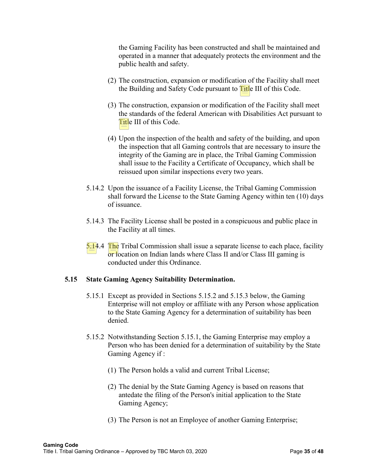the Gaming Facility has been constructed and shall be maintained and operated in a manner that adequately protects the environment and the public health and safety.

- (2) The construction, expansion or modification of the Facility shall meet the Building and Safety Code pursuant to **Title III** of this Code.
- (3) The construction, expansion or modification of the Facility shall meet the standards of the federal American with Disabilities Act pursuant to Title III of this Code.
- (4) Upon the inspection of the health and safety of the building, and upon the inspection that all Gaming controls that are necessary to insure the integrity of the Gaming are in place, the Tribal Gaming Commission shall issue to the Facility a Certificate of Occupancy, which shall be reissued upon similar inspections every two years.
- 5.14.2 Upon the issuance of a Facility License, the Tribal Gaming Commission shall forward the License to the State Gaming Agency within ten (10) days of issuance.
- 5.14.3 The Facility License shall be posted in a conspicuous and public place in the Facility at all times.
- $5.14.4$  The Tribal Commission shall issue a separate license to each place, facility or location on Indian lands where Class II and/or Class III gaming is conducted under this Ordinance.

#### **5.15 State Gaming Agency Suitability Determination.**

- 5.15.1 Except as provided in Sections 5.15.2 and 5.15.3 below, the Gaming Enterprise will not employ or affiliate with any Person whose application to the State Gaming Agency for a determination of suitability has been denied.
- 5.15.2 Notwithstanding Section 5.15.1, the Gaming Enterprise may employ a Person who has been denied for a determination of suitability by the State Gaming Agency if :
	- (1) The Person holds a valid and current Tribal License;
	- (2) The denial by the State Gaming Agency is based on reasons that antedate the filing of the Person's initial application to the State Gaming Agency;
	- (3) The Person is not an Employee of another Gaming Enterprise;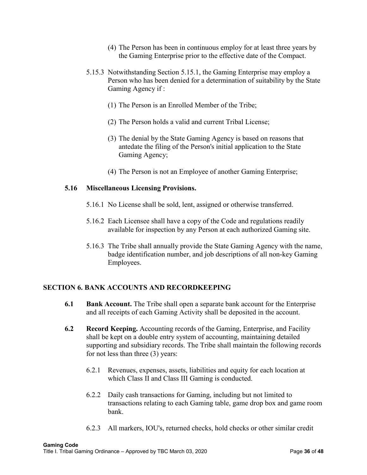- (4) The Person has been in continuous employ for at least three years by the Gaming Enterprise prior to the effective date of the Compact.
- 5.15.3 Notwithstanding Section 5.15.1, the Gaming Enterprise may employ a Person who has been denied for a determination of suitability by the State Gaming Agency if :
	- (1) The Person is an Enrolled Member of the Tribe;
	- (2) The Person holds a valid and current Tribal License;
	- (3) The denial by the State Gaming Agency is based on reasons that antedate the filing of the Person's initial application to the State Gaming Agency;
	- (4) The Person is not an Employee of another Gaming Enterprise;

#### **5.16 Miscellaneous Licensing Provisions.**

- 5.16.1 No License shall be sold, lent, assigned or otherwise transferred.
- 5.16.2 Each Licensee shall have a copy of the Code and regulations readily available for inspection by any Person at each authorized Gaming site.
- 5.16.3 The Tribe shall annually provide the State Gaming Agency with the name, badge identification number, and job descriptions of all non-key Gaming Employees.

#### **SECTION 6. BANK ACCOUNTS AND RECORDKEEPING**

- **6.1 Bank Account.** The Tribe shall open a separate bank account for the Enterprise and all receipts of each Gaming Activity shall be deposited in the account.
- **6.2 Record Keeping.** Accounting records of the Gaming, Enterprise, and Facility shall be kept on a double entry system of accounting, maintaining detailed supporting and subsidiary records. The Tribe shall maintain the following records for not less than three (3) years:
	- 6.2.1 Revenues, expenses, assets, liabilities and equity for each location at which Class II and Class III Gaming is conducted.
	- 6.2.2 Daily cash transactions for Gaming, including but not limited to transactions relating to each Gaming table, game drop box and game room bank.
	- 6.2.3 All markers, IOU's, returned checks, hold checks or other similar credit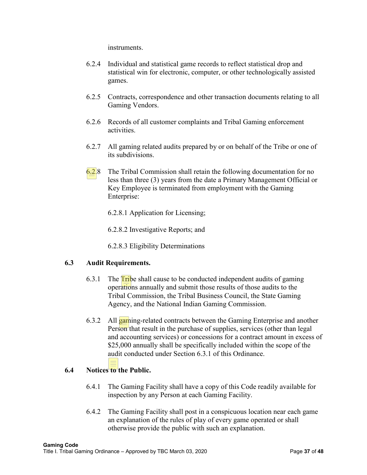instruments.

- 6.2.4 Individual and statistical game records to reflect statistical drop and statistical win for electronic, computer, or other technologically assisted games.
- 6.2.5 Contracts, correspondence and other transaction documents relating to all Gaming Vendors.
- 6.2.6 Records of all customer complaints and Tribal Gaming enforcement activities.
- 6.2.7 All gaming related audits prepared by or on behalf of the Tribe or one of its subdivisions.
- $6.28$  The Tribal Commission shall retain the following documentation for no less than three (3) years from the date a Primary Management Official or Key Employee is terminated from employment with the Gaming Enterprise:
	- 6.2.8.1 Application for Licensing;
	- 6.2.8.2 Investigative Reports; and
	- 6.2.8.3 Eligibility Determinations

#### **6.3 Audit Requirements.**

- 6.3.1 The  $\overline{\text{Tr}}$  be shall cause to be conducted independent audits of gaming operations annually and submit those results of those audits to the Tribal Commission, the Tribal Business Council, the State Gaming Agency, and the National Indian Gaming Commission.
- 6.3.2 All **gaming-related contracts between the Gaming Enterprise and another** Person that result in the purchase of supplies, services (other than legal and accounting services) or concessions for a contract amount in excess of \$25,000 annually shall be specifically included within the scope of the audit conducted under Section 6.3.1 of this Ordinance.

## **6.4 Notices to the Public.**

- 6.4.1 The Gaming Facility shall have a copy of this Code readily available for inspection by any Person at each Gaming Facility.
- 6.4.2 The Gaming Facility shall post in a conspicuous location near each game an explanation of the rules of play of every game operated or shall otherwise provide the public with such an explanation.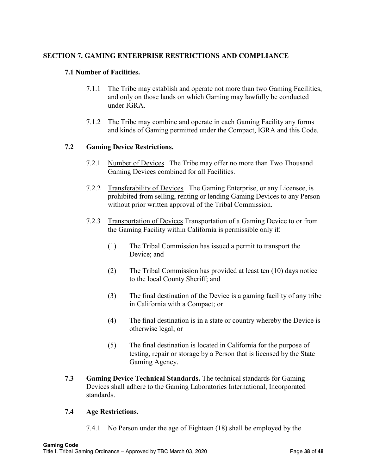## **SECTION 7. GAMING ENTERPRISE RESTRICTIONS AND COMPLIANCE**

#### **7.1 Number of Facilities.**

- 7.1.1 The Tribe may establish and operate not more than two Gaming Facilities, and only on those lands on which Gaming may lawfully be conducted under IGRA.
- 7.1.2 The Tribe may combine and operate in each Gaming Facility any forms and kinds of Gaming permitted under the Compact, IGRA and this Code.

#### **7.2 Gaming Device Restrictions.**

- 7.2.1 Number of Devices The Tribe may offer no more than Two Thousand Gaming Devices combined for all Facilities.
- 7.2.2 Transferability of Devices The Gaming Enterprise, or any Licensee, is prohibited from selling, renting or lending Gaming Devices to any Person without prior written approval of the Tribal Commission.
- 7.2.3 Transportation of Devices Transportation of a Gaming Device to or from the Gaming Facility within California is permissible only if:
	- (1) The Tribal Commission has issued a permit to transport the Device; and
	- (2) The Tribal Commission has provided at least ten (10) days notice to the local County Sheriff; and
	- (3) The final destination of the Device is a gaming facility of any tribe in California with a Compact; or
	- (4) The final destination is in a state or country whereby the Device is otherwise legal; or
	- (5) The final destination is located in California for the purpose of testing, repair or storage by a Person that is licensed by the State Gaming Agency.
- **7.3 Gaming Device Technical Standards.** The technical standards for Gaming Devices shall adhere to the Gaming Laboratories International, Incorporated standards.

#### **7.4 Age Restrictions.**

7.4.1 No Person under the age of Eighteen (18) shall be employed by the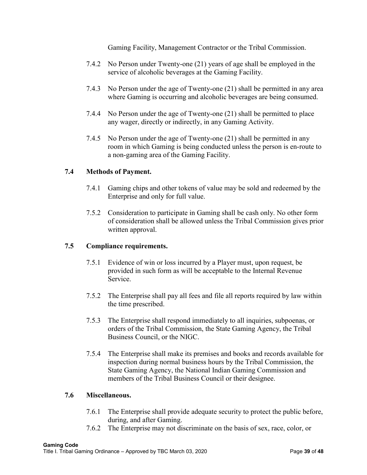Gaming Facility, Management Contractor or the Tribal Commission.

- 7.4.2 No Person under Twenty-one (21) years of age shall be employed in the service of alcoholic beverages at the Gaming Facility.
- 7.4.3 No Person under the age of Twenty-one (21) shall be permitted in any area where Gaming is occurring and alcoholic beverages are being consumed.
- 7.4.4 No Person under the age of Twenty-one (21) shall be permitted to place any wager, directly or indirectly, in any Gaming Activity.
- 7.4.5 No Person under the age of Twenty-one (21) shall be permitted in any room in which Gaming is being conducted unless the person is en-route to a non-gaming area of the Gaming Facility.

#### **7.4 Methods of Payment.**

- 7.4.1 Gaming chips and other tokens of value may be sold and redeemed by the Enterprise and only for full value.
- 7.5.2 Consideration to participate in Gaming shall be cash only. No other form of consideration shall be allowed unless the Tribal Commission gives prior written approval.

## **7.5 Compliance requirements.**

- 7.5.1 Evidence of win or loss incurred by a Player must, upon request, be provided in such form as will be acceptable to the Internal Revenue Service.
- 7.5.2 The Enterprise shall pay all fees and file all reports required by law within the time prescribed.
- 7.5.3 The Enterprise shall respond immediately to all inquiries, subpoenas, or orders of the Tribal Commission, the State Gaming Agency, the Tribal Business Council, or the NIGC.
- 7.5.4 The Enterprise shall make its premises and books and records available for inspection during normal business hours by the Tribal Commission, the State Gaming Agency, the National Indian Gaming Commission and members of the Tribal Business Council or their designee.

#### **7.6 Miscellaneous.**

- 7.6.1 The Enterprise shall provide adequate security to protect the public before, during, and after Gaming.
- 7.6.2 The Enterprise may not discriminate on the basis of sex, race, color, or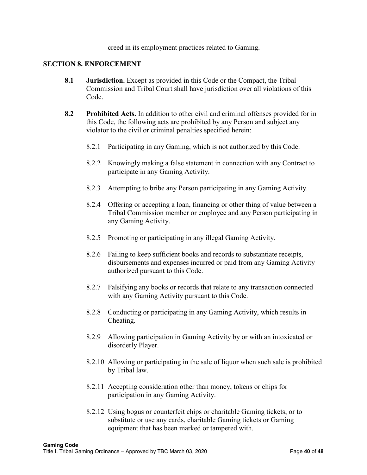creed in its employment practices related to Gaming.

#### **SECTION 8. ENFORCEMENT**

- **8.1 Jurisdiction.** Except as provided in this Code or the Compact, the Tribal Commission and Tribal Court shall have jurisdiction over all violations of this Code.
- **8.2 Prohibited Acts.** In addition to other civil and criminal offenses provided for in this Code, the following acts are prohibited by any Person and subject any violator to the civil or criminal penalties specified herein:
	- 8.2.1 Participating in any Gaming, which is not authorized by this Code.
	- 8.2.2 Knowingly making a false statement in connection with any Contract to participate in any Gaming Activity.
	- 8.2.3 Attempting to bribe any Person participating in any Gaming Activity.
	- 8.2.4 Offering or accepting a loan, financing or other thing of value between a Tribal Commission member or employee and any Person participating in any Gaming Activity.
	- 8.2.5 Promoting or participating in any illegal Gaming Activity.
	- 8.2.6 Failing to keep sufficient books and records to substantiate receipts, disbursements and expenses incurred or paid from any Gaming Activity authorized pursuant to this Code.
	- 8.2.7 Falsifying any books or records that relate to any transaction connected with any Gaming Activity pursuant to this Code.
	- 8.2.8 Conducting or participating in any Gaming Activity, which results in Cheating.
	- 8.2.9 Allowing participation in Gaming Activity by or with an intoxicated or disorderly Player.
	- 8.2.10 Allowing or participating in the sale of liquor when such sale is prohibited by Tribal law.
	- 8.2.11 Accepting consideration other than money, tokens or chips for participation in any Gaming Activity.
	- 8.2.12 Using bogus or counterfeit chips or charitable Gaming tickets, or to substitute or use any cards, charitable Gaming tickets or Gaming equipment that has been marked or tampered with.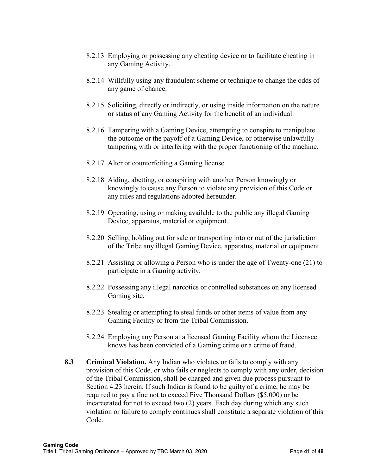- 8.2.13 Employing or possessing any cheating device or to facilitate cheating in any Gaming Activity.
- 8.2.14 Willfully using any fraudulent scheme or technique to change the odds of any game of chance.
- 8.2.15 Soliciting, directly or indirectly, or using inside information on the nature or status of any Gaming Activity for the benefit of an individual.
- 8.2.16 Tampering with a Gaming Device, attempting to conspire to manipulate the outcome or the payoff of a Gaming Device, or otherwise unlawfully tampering with or interfering with the proper functioning of the machine.
- 8.2.17 Alter or counterfeiting a Gaming license.
- 8.2.18 Aiding, abetting, or conspiring with another Person knowingly or knowingly to cause any Person to violate any provision of this Code or any rules and regulations adopted hereunder.
- 8.2.19 Operating, using or making available to the public any illegal Gaming Device, apparatus, material or equipment.
- 8.2.20 Selling, holding out for sale or transporting into or out of the jurisdiction of the Tribe any illegal Gaming Device, apparatus, material or equipment.
- 8.2.21 Assisting or allowing a Person who is under the age of Twenty-one (21) to participate in a Gaming activity.
- 8.2.22 Possessing any illegal narcotics or controlled substances on any licensed Gaming site.
- 8.2.23 Stealing or attempting to steal funds or other items of value from any Gaming Facility or from the Tribal Commission.
- 8.2.24 Employing any Person at a licensed Gaming Facility whom the Licensee knows has been convicted of a Gaming crime or a crime of fraud.
- **8.3 Criminal Violation.** Any Indian who violates or fails to comply with any provision of this Code, or who fails or neglects to comply with any order, decision of the Tribal Commission, shall be charged and given due process pursuant to Section 4.23 herein. If such Indian is found to be guilty of a crime, he may be required to pay a fine not to exceed Five Thousand Dollars (\$5,000) or be incarcerated for not to exceed two (2) years. Each day during which any such violation or failure to comply continues shall constitute a separate violation of this Code.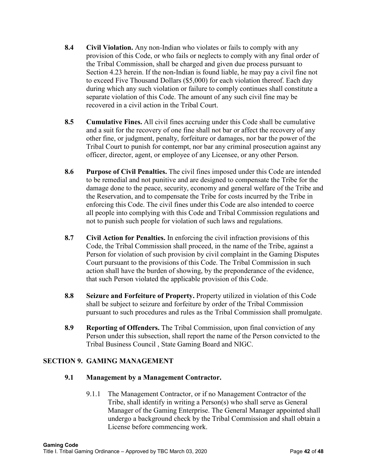- **8.4 Civil Violation.** Any non-Indian who violates or fails to comply with any provision of this Code, or who fails or neglects to comply with any final order of the Tribal Commission, shall be charged and given due process pursuant to Section 4.23 herein. If the non-Indian is found liable, he may pay a civil fine not to exceed Five Thousand Dollars (\$5,000) for each violation thereof. Each day during which any such violation or failure to comply continues shall constitute a separate violation of this Code. The amount of any such civil fine may be recovered in a civil action in the Tribal Court.
- **8.5 Cumulative Fines.** All civil fines accruing under this Code shall be cumulative and a suit for the recovery of one fine shall not bar or affect the recovery of any other fine, or judgment, penalty, forfeiture or damages, nor bar the power of the Tribal Court to punish for contempt, nor bar any criminal prosecution against any officer, director, agent, or employee of any Licensee, or any other Person.
- **8.6 Purpose of Civil Penalties.** The civil fines imposed under this Code are intended to be remedial and not punitive and are designed to compensate the Tribe for the damage done to the peace, security, economy and general welfare of the Tribe and the Reservation, and to compensate the Tribe for costs incurred by the Tribe in enforcing this Code. The civil fines under this Code are also intended to coerce all people into complying with this Code and Tribal Commission regulations and not to punish such people for violation of such laws and regulations.
- **8.7 Civil Action for Penalties.** In enforcing the civil infraction provisions of this Code, the Tribal Commission shall proceed, in the name of the Tribe, against a Person for violation of such provision by civil complaint in the Gaming Disputes Court pursuant to the provisions of this Code. The Tribal Commission in such action shall have the burden of showing, by the preponderance of the evidence, that such Person violated the applicable provision of this Code.
- **8.8 Seizure and Forfeiture of Property.** Property utilized in violation of this Code shall be subject to seizure and forfeiture by order of the Tribal Commission pursuant to such procedures and rules as the Tribal Commission shall promulgate.
- **8.9 Reporting of Offenders.** The Tribal Commission, upon final conviction of any Person under this subsection, shall report the name of the Person convicted to the Tribal Business Council , State Gaming Board and NIGC.

## **SECTION 9. GAMING MANAGEMENT**

## **9.1 Management by a Management Contractor.**

9.1.1 The Management Contractor, or if no Management Contractor of the Tribe, shall identify in writing a Person(s) who shall serve as General Manager of the Gaming Enterprise. The General Manager appointed shall undergo a background check by the Tribal Commission and shall obtain a License before commencing work.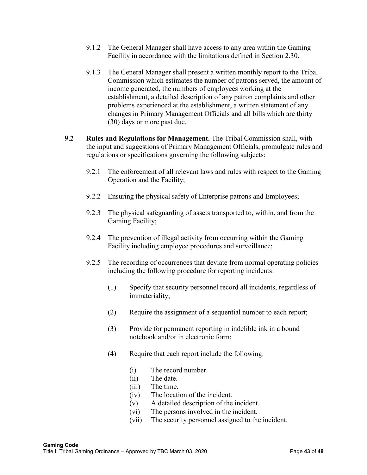- 9.1.2 The General Manager shall have access to any area within the Gaming Facility in accordance with the limitations defined in Section 2.30.
- 9.1.3 The General Manager shall present a written monthly report to the Tribal Commission which estimates the number of patrons served, the amount of income generated, the numbers of employees working at the establishment, a detailed description of any patron complaints and other problems experienced at the establishment, a written statement of any changes in Primary Management Officials and all bills which are thirty (30) days or more past due.
- **9.2 Rules and Regulations for Management.** The Tribal Commission shall, with the input and suggestions of Primary Management Officials, promulgate rules and regulations or specifications governing the following subjects:
	- 9.2.1 The enforcement of all relevant laws and rules with respect to the Gaming Operation and the Facility;
	- 9.2.2 Ensuring the physical safety of Enterprise patrons and Employees;
	- 9.2.3 The physical safeguarding of assets transported to, within, and from the Gaming Facility;
	- 9.2.4 The prevention of illegal activity from occurring within the Gaming Facility including employee procedures and surveillance;
	- 9.2.5 The recording of occurrences that deviate from normal operating policies including the following procedure for reporting incidents:
		- (1) Specify that security personnel record all incidents, regardless of immateriality;
		- (2) Require the assignment of a sequential number to each report;
		- (3) Provide for permanent reporting in indelible ink in a bound notebook and/or in electronic form;
		- (4) Require that each report include the following:
			- (i) The record number.
			- (ii) The date.
			- (iii) The time.
			- (iv) The location of the incident.
			- (v) A detailed description of the incident.
			- (vi) The persons involved in the incident.
			- (vii) The security personnel assigned to the incident.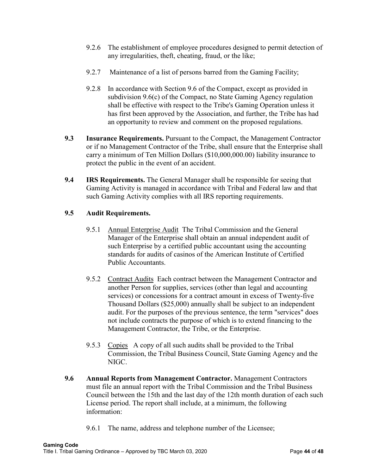- 9.2.6 The establishment of employee procedures designed to permit detection of any irregularities, theft, cheating, fraud, or the like;
- 9.2.7 Maintenance of a list of persons barred from the Gaming Facility;
- 9.2.8 In accordance with Section 9.6 of the Compact, except as provided in subdivision 9.6(c) of the Compact, no State Gaming Agency regulation shall be effective with respect to the Tribe's Gaming Operation unless it has first been approved by the Association, and further, the Tribe has had an opportunity to review and comment on the proposed regulations.
- **9.3 Insurance Requirements.** Pursuant to the Compact, the Management Contractor or if no Management Contractor of the Tribe, shall ensure that the Enterprise shall carry a minimum of Ten Million Dollars (\$10,000,000.00) liability insurance to protect the public in the event of an accident.
- **9.4 IRS Requirements.** The General Manager shall be responsible for seeing that Gaming Activity is managed in accordance with Tribal and Federal law and that such Gaming Activity complies with all IRS reporting requirements.

#### **9.5 Audit Requirements.**

- 9.5.1 Annual Enterprise Audit The Tribal Commission and the General Manager of the Enterprise shall obtain an annual independent audit of such Enterprise by a certified public accountant using the accounting standards for audits of casinos of the American Institute of Certified Public Accountants.
- 9.5.2 Contract Audits Each contract between the Management Contractor and another Person for supplies, services (other than legal and accounting services) or concessions for a contract amount in excess of Twenty-five Thousand Dollars (\$25,000) annually shall be subject to an independent audit. For the purposes of the previous sentence, the term "services" does not include contracts the purpose of which is to extend financing to the Management Contractor, the Tribe, or the Enterprise.
- 9.5.3 Copies A copy of all such audits shall be provided to the Tribal Commission, the Tribal Business Council, State Gaming Agency and the NIGC.
- **9.6 Annual Reports from Management Contractor.** Management Contractors must file an annual report with the Tribal Commission and the Tribal Business Council between the 15th and the last day of the 12th month duration of each such License period. The report shall include, at a minimum, the following information:
	- 9.6.1 The name, address and telephone number of the Licensee;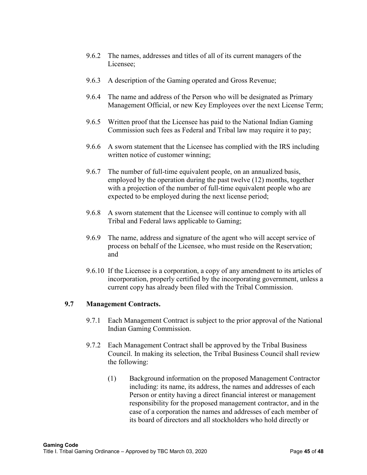- 9.6.2 The names, addresses and titles of all of its current managers of the Licensee;
- 9.6.3 A description of the Gaming operated and Gross Revenue;
- 9.6.4 The name and address of the Person who will be designated as Primary Management Official, or new Key Employees over the next License Term;
- 9.6.5 Written proof that the Licensee has paid to the National Indian Gaming Commission such fees as Federal and Tribal law may require it to pay;
- 9.6.6 A sworn statement that the Licensee has complied with the IRS including written notice of customer winning;
- 9.6.7 The number of full-time equivalent people, on an annualized basis, employed by the operation during the past twelve (12) months, together with a projection of the number of full-time equivalent people who are expected to be employed during the next license period;
- 9.6.8 A sworn statement that the Licensee will continue to comply with all Tribal and Federal laws applicable to Gaming;
- 9.6.9 The name, address and signature of the agent who will accept service of process on behalf of the Licensee, who must reside on the Reservation; and
- 9.6.10 If the Licensee is a corporation, a copy of any amendment to its articles of incorporation, properly certified by the incorporating government, unless a current copy has already been filed with the Tribal Commission.

#### **9.7 Management Contracts.**

- 9.7.1 Each Management Contract is subject to the prior approval of the National Indian Gaming Commission.
- 9.7.2 Each Management Contract shall be approved by the Tribal Business Council. In making its selection, the Tribal Business Council shall review the following:
	- (1) Background information on the proposed Management Contractor including: its name, its address, the names and addresses of each Person or entity having a direct financial interest or management responsibility for the proposed management contractor, and in the case of a corporation the names and addresses of each member of its board of directors and all stockholders who hold directly or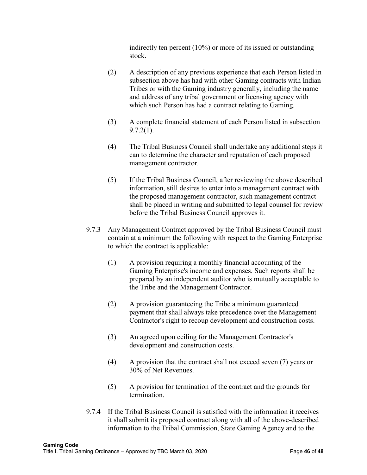indirectly ten percent (10%) or more of its issued or outstanding stock.

- (2) A description of any previous experience that each Person listed in subsection above has had with other Gaming contracts with Indian Tribes or with the Gaming industry generally, including the name and address of any tribal government or licensing agency with which such Person has had a contract relating to Gaming.
- (3) A complete financial statement of each Person listed in subsection 9.7.2(1).
- (4) The Tribal Business Council shall undertake any additional steps it can to determine the character and reputation of each proposed management contractor.
- (5) If the Tribal Business Council, after reviewing the above described information, still desires to enter into a management contract with the proposed management contractor, such management contract shall be placed in writing and submitted to legal counsel for review before the Tribal Business Council approves it.
- 9.7.3 Any Management Contract approved by the Tribal Business Council must contain at a minimum the following with respect to the Gaming Enterprise to which the contract is applicable:
	- (1) A provision requiring a monthly financial accounting of the Gaming Enterprise's income and expenses. Such reports shall be prepared by an independent auditor who is mutually acceptable to the Tribe and the Management Contractor.
	- (2) A provision guaranteeing the Tribe a minimum guaranteed payment that shall always take precedence over the Management Contractor's right to recoup development and construction costs.
	- (3) An agreed upon ceiling for the Management Contractor's development and construction costs.
	- (4) A provision that the contract shall not exceed seven (7) years or 30% of Net Revenues.
	- (5) A provision for termination of the contract and the grounds for termination.
- 9.7.4 If the Tribal Business Council is satisfied with the information it receives it shall submit its proposed contract along with all of the above-described information to the Tribal Commission, State Gaming Agency and to the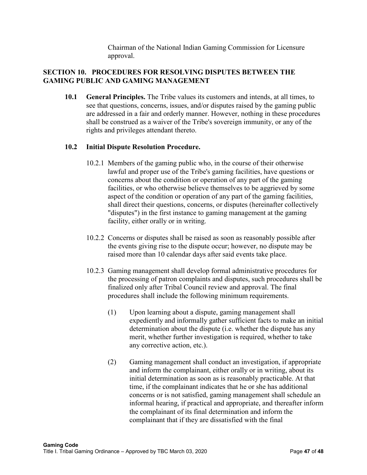Chairman of the National Indian Gaming Commission for Licensure approval.

## **SECTION 10. PROCEDURES FOR RESOLVING DISPUTES BETWEEN THE GAMING PUBLIC AND GAMING MANAGEMENT**

**10.1 General Principles.** The Tribe values its customers and intends, at all times, to see that questions, concerns, issues, and/or disputes raised by the gaming public are addressed in a fair and orderly manner. However, nothing in these procedures shall be construed as a waiver of the Tribe's sovereign immunity, or any of the rights and privileges attendant thereto.

## **10.2 Initial Dispute Resolution Procedure.**

- 10.2.1 Members of the gaming public who, in the course of their otherwise lawful and proper use of the Tribe's gaming facilities, have questions or concerns about the condition or operation of any part of the gaming facilities, or who otherwise believe themselves to be aggrieved by some aspect of the condition or operation of any part of the gaming facilities, shall direct their questions, concerns, or disputes (hereinafter collectively "disputes") in the first instance to gaming management at the gaming facility, either orally or in writing.
- 10.2.2 Concerns or disputes shall be raised as soon as reasonably possible after the events giving rise to the dispute occur; however, no dispute may be raised more than 10 calendar days after said events take place.
- 10.2.3 Gaming management shall develop formal administrative procedures for the processing of patron complaints and disputes, such procedures shall be finalized only after Tribal Council review and approval. The final procedures shall include the following minimum requirements.
	- (1) Upon learning about a dispute, gaming management shall expediently and informally gather sufficient facts to make an initial determination about the dispute (i.e. whether the dispute has any merit, whether further investigation is required, whether to take any corrective action, etc.).
	- (2) Gaming management shall conduct an investigation, if appropriate and inform the complainant, either orally or in writing, about its initial determination as soon as is reasonably practicable. At that time, if the complainant indicates that he or she has additional concerns or is not satisfied, gaming management shall schedule an informal hearing, if practical and appropriate, and thereafter inform the complainant of its final determination and inform the complainant that if they are dissatisfied with the final